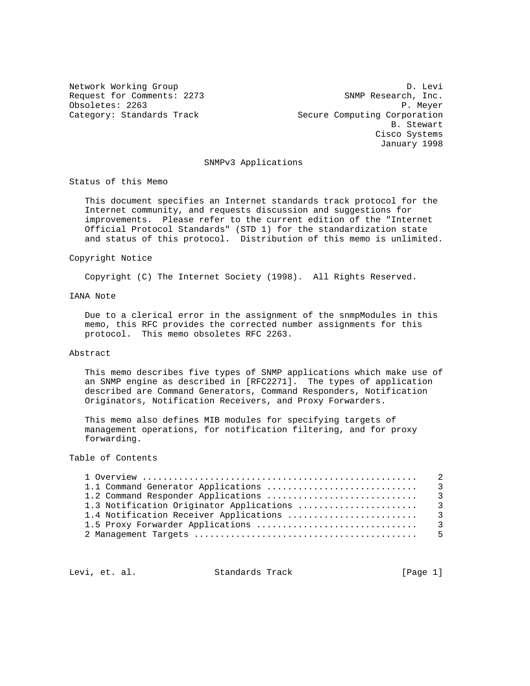Network Working Group Devil and the United States of D. Levi Request for Comments: 2273 SNMP Research, Inc. Obsoletes: 2263<br>Category: Standards Track entries and Secure Computing Corporation Secure Computing Corporation B. Stewart Cisco Systems January 1998

#### SNMPv3 Applications

Status of this Memo

 This document specifies an Internet standards track protocol for the Internet community, and requests discussion and suggestions for improvements. Please refer to the current edition of the "Internet Official Protocol Standards" (STD 1) for the standardization state and status of this protocol. Distribution of this memo is unlimited.

#### Copyright Notice

Copyright (C) The Internet Society (1998). All Rights Reserved.

# IANA Note

 Due to a clerical error in the assignment of the snmpModules in this memo, this RFC provides the corrected number assignments for this protocol. This memo obsoletes RFC 2263.

#### Abstract

 This memo describes five types of SNMP applications which make use of an SNMP engine as described in [RFC2271]. The types of application described are Command Generators, Command Responders, Notification Originators, Notification Receivers, and Proxy Forwarders.

 This memo also defines MIB modules for specifying targets of management operations, for notification filtering, and for proxy forwarding.

# Table of Contents

Levi, et. al. Standards Track [Page 1]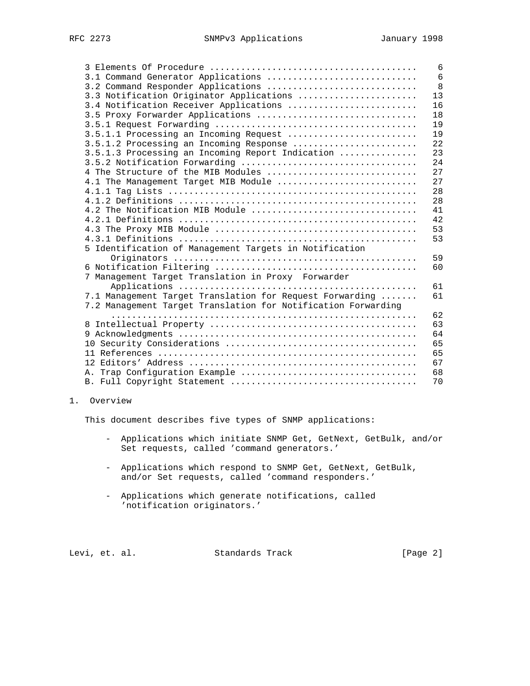|                                                               | 6              |
|---------------------------------------------------------------|----------------|
| 3.1 Command Generator Applications                            | $6\phantom{1}$ |
| 3.2 Command Responder Applications                            | 8              |
| 3.3 Notification Originator Applications                      | 13             |
| 3.4 Notification Receiver Applications                        | 16             |
| 3.5 Proxy Forwarder Applications                              | 18             |
|                                                               | 19             |
| 3.5.1.1 Processing an Incoming Request                        | 19             |
| 3.5.1.2 Processing an Incoming Response                       | 22             |
| 3.5.1.3 Processing an Incoming Report Indication              | 23             |
|                                                               | 24             |
| 4 The Structure of the MIB Modules                            | 27             |
| 4.1 The Management Target MIB Module                          | 27             |
|                                                               | 28             |
|                                                               | 28             |
| 4.2 The Notification MIB Module                               | 41             |
|                                                               | 42             |
|                                                               | 53             |
|                                                               | 53             |
| 5 Identification of Management Targets in Notification        |                |
|                                                               | 59             |
|                                                               | 60             |
| 7 Management Target Translation in Proxy Forwarder            |                |
|                                                               | 61             |
| 7.1 Management Target Translation for Request Forwarding      | 61             |
| 7.2 Management Target Translation for Notification Forwarding |                |
|                                                               | 62             |
|                                                               | 63             |
|                                                               | 64             |
|                                                               | 65             |
|                                                               | 65             |
|                                                               | 67             |
|                                                               | 68             |
|                                                               | 70             |

1. Overview

This document describes five types of SNMP applications:

- Applications which initiate SNMP Get, GetNext, GetBulk, and/or Set requests, called 'command generators.'
- Applications which respond to SNMP Get, GetNext, GetBulk, and/or Set requests, called 'command responders.'
- Applications which generate notifications, called 'notification originators.'

Levi, et. al. Standards Track [Page 2]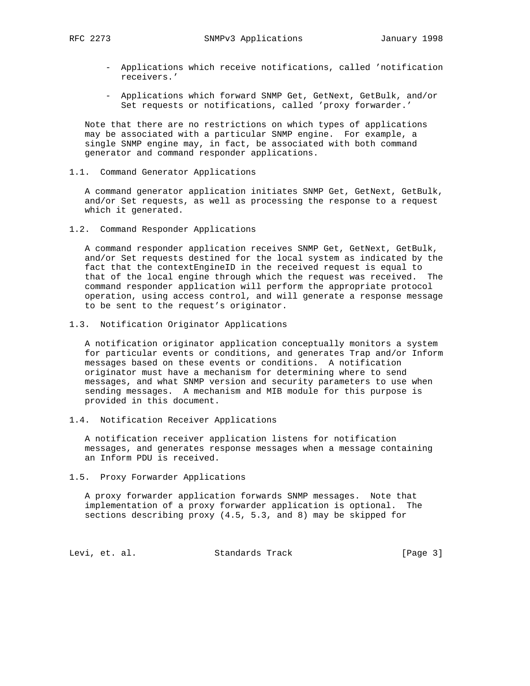- Applications which receive notifications, called 'notification receivers.'
- Applications which forward SNMP Get, GetNext, GetBulk, and/or Set requests or notifications, called 'proxy forwarder.'

 Note that there are no restrictions on which types of applications may be associated with a particular SNMP engine. For example, a single SNMP engine may, in fact, be associated with both command generator and command responder applications.

1.1. Command Generator Applications

 A command generator application initiates SNMP Get, GetNext, GetBulk, and/or Set requests, as well as processing the response to a request which it generated.

1.2. Command Responder Applications

 A command responder application receives SNMP Get, GetNext, GetBulk, and/or Set requests destined for the local system as indicated by the fact that the contextEngineID in the received request is equal to that of the local engine through which the request was received. The command responder application will perform the appropriate protocol operation, using access control, and will generate a response message to be sent to the request's originator.

1.3. Notification Originator Applications

 A notification originator application conceptually monitors a system for particular events or conditions, and generates Trap and/or Inform messages based on these events or conditions. A notification originator must have a mechanism for determining where to send messages, and what SNMP version and security parameters to use when sending messages. A mechanism and MIB module for this purpose is provided in this document.

1.4. Notification Receiver Applications

 A notification receiver application listens for notification messages, and generates response messages when a message containing an Inform PDU is received.

1.5. Proxy Forwarder Applications

 A proxy forwarder application forwards SNMP messages. Note that implementation of a proxy forwarder application is optional. The sections describing proxy (4.5, 5.3, and 8) may be skipped for

Levi, et. al. Standards Track [Page 3]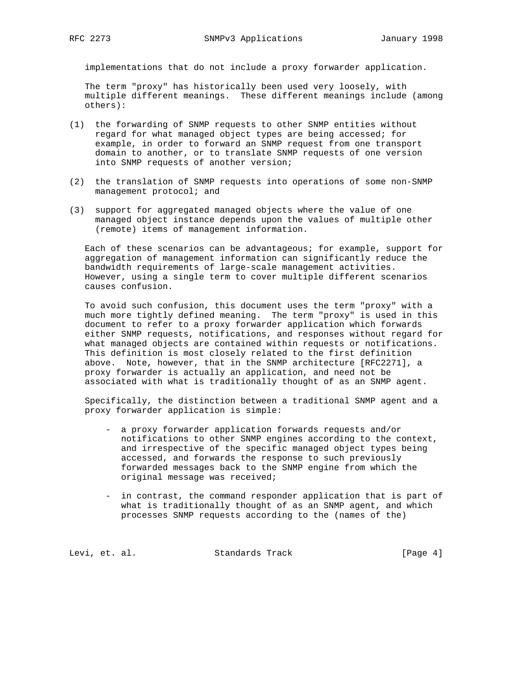implementations that do not include a proxy forwarder application.

 The term "proxy" has historically been used very loosely, with multiple different meanings. These different meanings include (among others):

- (1) the forwarding of SNMP requests to other SNMP entities without regard for what managed object types are being accessed; for example, in order to forward an SNMP request from one transport domain to another, or to translate SNMP requests of one version into SNMP requests of another version;
- (2) the translation of SNMP requests into operations of some non-SNMP management protocol; and
- (3) support for aggregated managed objects where the value of one managed object instance depends upon the values of multiple other (remote) items of management information.

 Each of these scenarios can be advantageous; for example, support for aggregation of management information can significantly reduce the bandwidth requirements of large-scale management activities. However, using a single term to cover multiple different scenarios causes confusion.

 To avoid such confusion, this document uses the term "proxy" with a much more tightly defined meaning. The term "proxy" is used in this document to refer to a proxy forwarder application which forwards either SNMP requests, notifications, and responses without regard for what managed objects are contained within requests or notifications. This definition is most closely related to the first definition above. Note, however, that in the SNMP architecture [RFC2271], a proxy forwarder is actually an application, and need not be associated with what is traditionally thought of as an SNMP agent.

 Specifically, the distinction between a traditional SNMP agent and a proxy forwarder application is simple:

- a proxy forwarder application forwards requests and/or notifications to other SNMP engines according to the context, and irrespective of the specific managed object types being accessed, and forwards the response to such previously forwarded messages back to the SNMP engine from which the original message was received;
- in contrast, the command responder application that is part of what is traditionally thought of as an SNMP agent, and which processes SNMP requests according to the (names of the)

Levi, et. al. Standards Track [Page 4]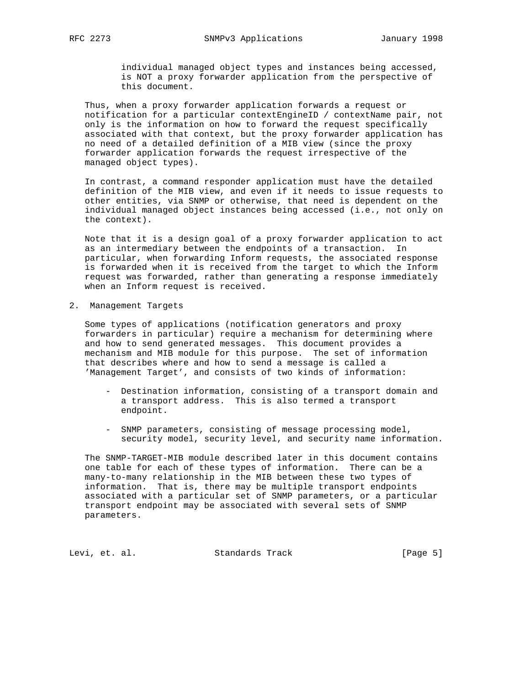individual managed object types and instances being accessed, is NOT a proxy forwarder application from the perspective of this document.

 Thus, when a proxy forwarder application forwards a request or notification for a particular contextEngineID / contextName pair, not only is the information on how to forward the request specifically associated with that context, but the proxy forwarder application has no need of a detailed definition of a MIB view (since the proxy forwarder application forwards the request irrespective of the managed object types).

 In contrast, a command responder application must have the detailed definition of the MIB view, and even if it needs to issue requests to other entities, via SNMP or otherwise, that need is dependent on the individual managed object instances being accessed (i.e., not only on the context).

 Note that it is a design goal of a proxy forwarder application to act as an intermediary between the endpoints of a transaction. In particular, when forwarding Inform requests, the associated response is forwarded when it is received from the target to which the Inform request was forwarded, rather than generating a response immediately when an Inform request is received.

2. Management Targets

 Some types of applications (notification generators and proxy forwarders in particular) require a mechanism for determining where and how to send generated messages. This document provides a mechanism and MIB module for this purpose. The set of information that describes where and how to send a message is called a 'Management Target', and consists of two kinds of information:

- Destination information, consisting of a transport domain and a transport address. This is also termed a transport endpoint.
- SNMP parameters, consisting of message processing model, security model, security level, and security name information.

 The SNMP-TARGET-MIB module described later in this document contains one table for each of these types of information. There can be a many-to-many relationship in the MIB between these two types of information. That is, there may be multiple transport endpoints associated with a particular set of SNMP parameters, or a particular transport endpoint may be associated with several sets of SNMP parameters.

Levi, et. al. Standards Track [Page 5]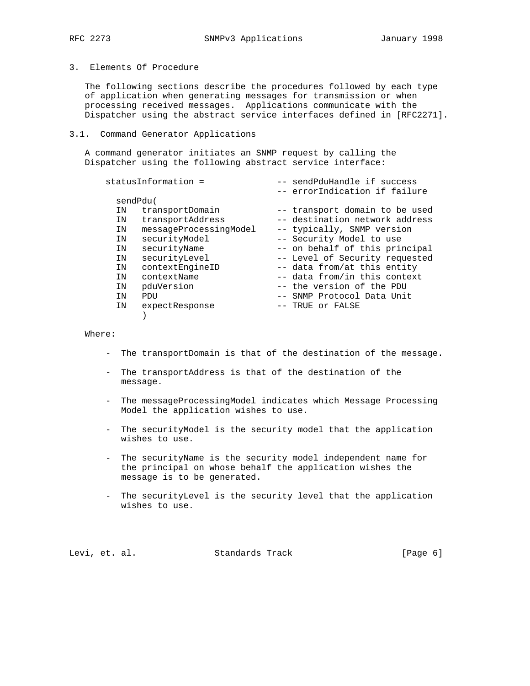# 3. Elements Of Procedure

 The following sections describe the procedures followed by each type of application when generating messages for transmission or when processing received messages. Applications communicate with the Dispatcher using the abstract service interfaces defined in [RFC2271].

#### 3.1. Command Generator Applications

 A command generator initiates an SNMP request by calling the Dispatcher using the following abstract service interface:

| -- sendPduHandle if success    |
|--------------------------------|
| -- errorIndication if failure  |
|                                |
| -- transport domain to be used |
| -- destination network address |
| -- typically, SNMP version     |
| -- Security Model to use       |
| -- on behalf of this principal |
| -- Level of Security requested |
| -- data from/at this entity    |
| -- data from/in this context   |
| -- the version of the PDU      |
| -- SNMP Protocol Data Unit     |
| -- TRUE or FALSE               |
|                                |
|                                |

Where:

- The transportDomain is that of the destination of the message.
- The transportAddress is that of the destination of the message.
- The messageProcessingModel indicates which Message Processing Model the application wishes to use.
- The securityModel is the security model that the application wishes to use.
- The securityName is the security model independent name for the principal on whose behalf the application wishes the message is to be generated.
- The securityLevel is the security level that the application wishes to use.

|  | Levi, et. al. |  | Standards Track | [Page 6] |  |
|--|---------------|--|-----------------|----------|--|
|--|---------------|--|-----------------|----------|--|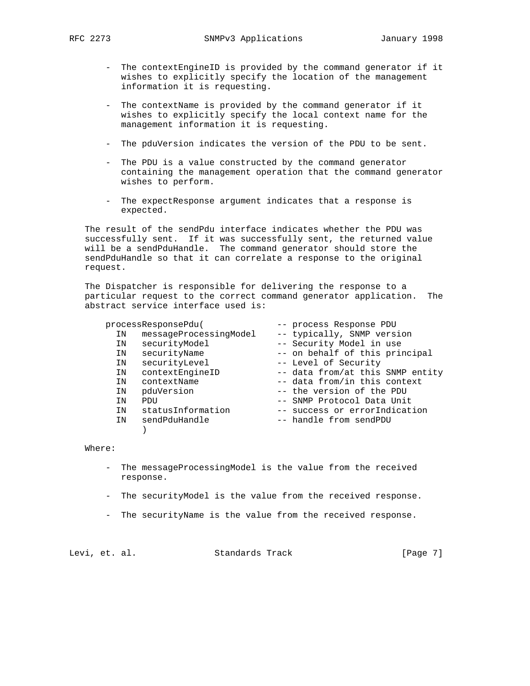- The contextEngineID is provided by the command generator if it wishes to explicitly specify the location of the management information it is requesting.
- The contextName is provided by the command generator if it wishes to explicitly specify the local context name for the management information it is requesting.
- The pduVersion indicates the version of the PDU to be sent.
- The PDU is a value constructed by the command generator containing the management operation that the command generator wishes to perform.
- The expectResponse argument indicates that a response is expected.

 The result of the sendPdu interface indicates whether the PDU was successfully sent. If it was successfully sent, the returned value will be a sendPduHandle. The command generator should store the sendPduHandle so that it can correlate a response to the original request.

 The Dispatcher is responsible for delivering the response to a particular request to the correct command generator application. The abstract service interface used is:

#### processResponsePdu( -- process Response PDU

| ΙN | messageProcessingModel | -- typically, SNMP version       |
|----|------------------------|----------------------------------|
| ΙN | securityModel          | -- Security Model in use         |
| ΙN | securityName           | -- on behalf of this principal   |
| ΙN | securityLevel          | -- Level of Security             |
| ΙN | contextEngineID        | -- data from/at this SNMP entity |
| ΙN | contextName            | -- data from/in this context     |
| ΙN | pduVersion             | -- the version of the PDU        |
| ΙN | PDU                    | -- SNMP Protocol Data Unit       |
| ΙN | statusInformation      | -- success or errorIndication    |
| ΙN | sendPduHandle          | -- handle from sendPDU           |
|    |                        |                                  |

#### Where:

- The messageProcessingModel is the value from the received response.
- The securityModel is the value from the received response.
- The securityName is the value from the received response.

Levi, et. al. Standards Track [Page 7]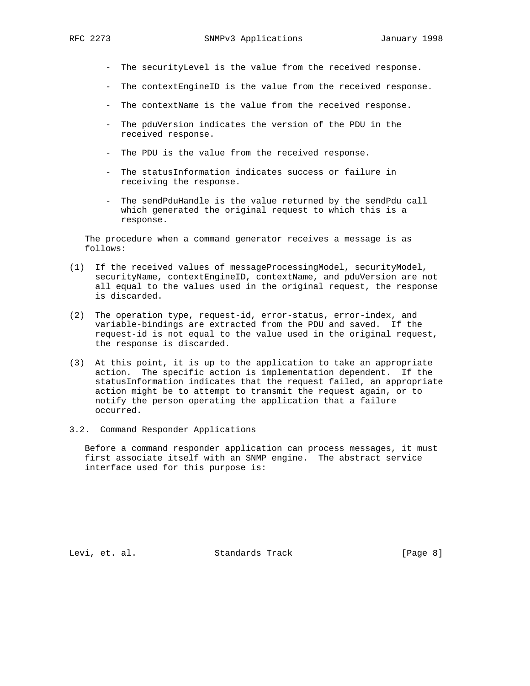- The securityLevel is the value from the received response.
- The contextEngineID is the value from the received response.
- The contextName is the value from the received response.
- The pduVersion indicates the version of the PDU in the received response.
- The PDU is the value from the received response.
- The statusInformation indicates success or failure in receiving the response.
- The sendPduHandle is the value returned by the sendPdu call which generated the original request to which this is a response.

 The procedure when a command generator receives a message is as follows:

- (1) If the received values of messageProcessingModel, securityModel, securityName, contextEngineID, contextName, and pduVersion are not all equal to the values used in the original request, the response is discarded.
- (2) The operation type, request-id, error-status, error-index, and variable-bindings are extracted from the PDU and saved. If the request-id is not equal to the value used in the original request, the response is discarded.
- (3) At this point, it is up to the application to take an appropriate action. The specific action is implementation dependent. If the statusInformation indicates that the request failed, an appropriate action might be to attempt to transmit the request again, or to notify the person operating the application that a failure occurred.
- 3.2. Command Responder Applications

 Before a command responder application can process messages, it must first associate itself with an SNMP engine. The abstract service interface used for this purpose is:

Levi, et. al. Standards Track [Page 8]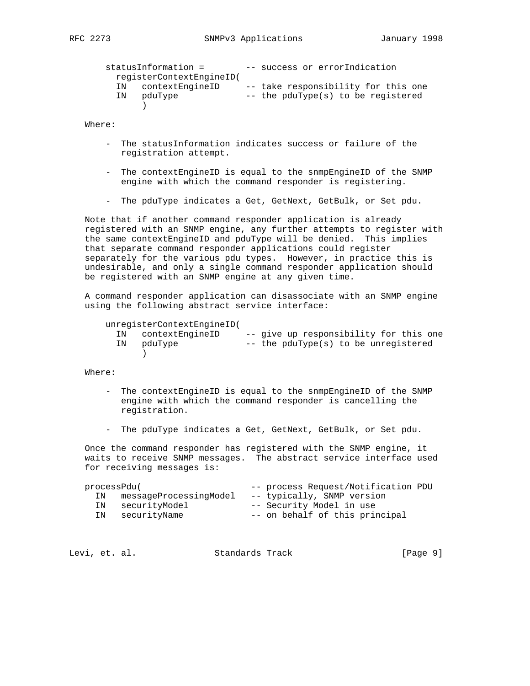```
statusInformation = -- success or errorIndication
        registerContextEngineID(
        IN contextEngineID -- take responsibility for this one
       IN pduType -- the pduType(s) to be registered
 )
```
- The statusInformation indicates success or failure of the registration attempt.
- The contextEngineID is equal to the snmpEngineID of the SNMP engine with which the command responder is registering.
- The pduType indicates a Get, GetNext, GetBulk, or Set pdu.

 Note that if another command responder application is already registered with an SNMP engine, any further attempts to register with the same contextEngineID and pduType will be denied. This implies that separate command responder applications could register separately for the various pdu types. However, in practice this is undesirable, and only a single command responder application should be registered with an SNMP engine at any given time.

 A command responder application can disassociate with an SNMP engine using the following abstract service interface:

```
 unregisterContextEngineID(
```

| IN contextEngineID | -- give up responsibility for this one |
|--------------------|----------------------------------------|
| IN pduType         | -- the pduType(s) to be unregistered   |
|                    |                                        |

Where:

- The contextEngineID is equal to the snmpEngineID of the SNMP engine with which the command responder is cancelling the registration.
- The pduType indicates a Get, GetNext, GetBulk, or Set pdu.

 Once the command responder has registered with the SNMP engine, it waits to receive SNMP messages. The abstract service interface used for receiving messages is:

| processPdu( |                        | -- process Request/Notification PDU |
|-------------|------------------------|-------------------------------------|
| IN          | messageProcessingModel | -- typically, SNMP version          |
|             | IN securityModel       | -- Security Model in use            |
|             | IN securityName        | -- on behalf of this principal      |

| Levi, et. al.<br>Standards Track | [Page 9] |
|----------------------------------|----------|
|----------------------------------|----------|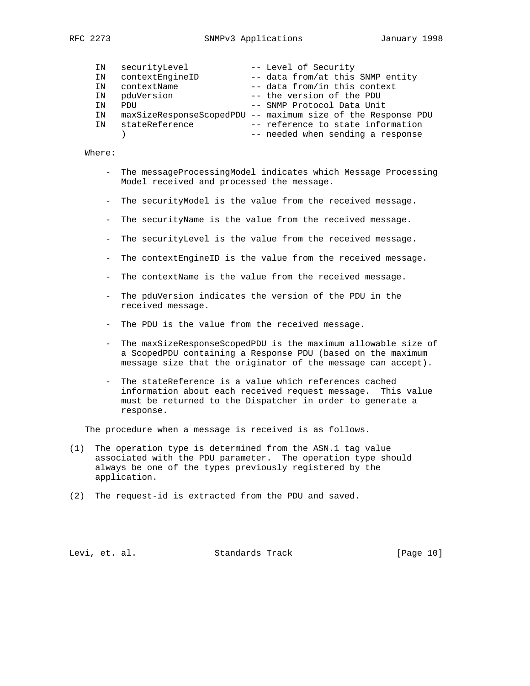| 227.<br>RFC |
|-------------|
|             |

| IN | securityLevel     | -- Level of Security                                         |
|----|-------------------|--------------------------------------------------------------|
| IN | contextEngineID   | -- data from/at this SNMP entity                             |
| IN | contextName       | -- data from/in this context                                 |
|    | IN pduVersion     | -- the version of the PDU                                    |
| TN | PDIJ              | -- SNMP Protocol Data Unit                                   |
| IN |                   | maxSizeResponseScopedPDU -- maximum size of the Response PDU |
|    | IN stateReference | -- reference to state information                            |
|    |                   | -- needed when sending a response                            |

- The messageProcessingModel indicates which Message Processing Model received and processed the message.
- The securityModel is the value from the received message.
- The securityName is the value from the received message.
- The securityLevel is the value from the received message.
- The contextEngineID is the value from the received message.
- The contextName is the value from the received message.
- The pduVersion indicates the version of the PDU in the received message.
- The PDU is the value from the received message.
- The maxSizeResponseScopedPDU is the maximum allowable size of a ScopedPDU containing a Response PDU (based on the maximum message size that the originator of the message can accept).
- The stateReference is a value which references cached information about each received request message. This value must be returned to the Dispatcher in order to generate a response.

The procedure when a message is received is as follows.

- (1) The operation type is determined from the ASN.1 tag value associated with the PDU parameter. The operation type should always be one of the types previously registered by the application.
- (2) The request-id is extracted from the PDU and saved.

Levi, et. al. Standards Track [Page 10]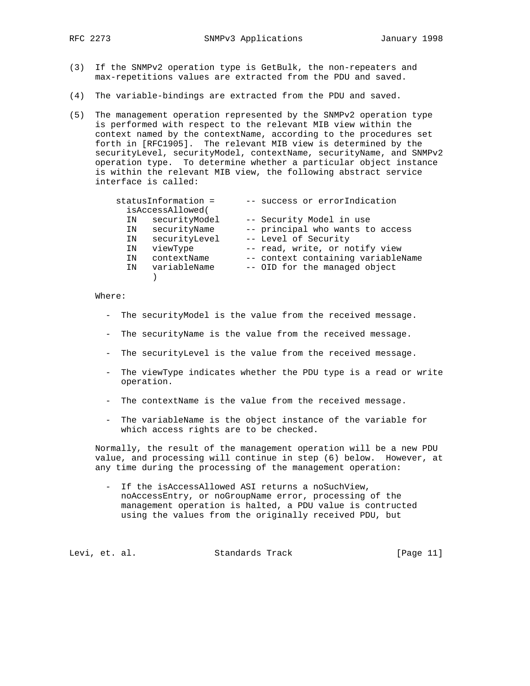- (3) If the SNMPv2 operation type is GetBulk, the non-repeaters and max-repetitions values are extracted from the PDU and saved.
- (4) The variable-bindings are extracted from the PDU and saved.
- (5) The management operation represented by the SNMPv2 operation type is performed with respect to the relevant MIB view within the context named by the contextName, according to the procedures set forth in [RFC1905]. The relevant MIB view is determined by the securityLevel, securityModel, contextName, securityName, and SNMPv2 operation type. To determine whether a particular object instance is within the relevant MIB view, the following abstract service interface is called:

|    | statusInformation = | -- success or errorIndication      |
|----|---------------------|------------------------------------|
|    | isAccessAllowed(    |                                    |
| ΙN | securityModel       | -- Security Model in use           |
| ΙN | securityName        | -- principal who wants to access   |
| ΙN | securityLevel       | -- Level of Security               |
| ΙN | viewType            | -- read, write, or notify view     |
| ΙN | contextName         | -- context containing variableName |
| TN | variableName        | -- OID for the managed object      |
|    |                     |                                    |

- The securityModel is the value from the received message.
- The securityName is the value from the received message.
- The securityLevel is the value from the received message.
- The viewType indicates whether the PDU type is a read or write operation.
- The contextName is the value from the received message.
- The variableName is the object instance of the variable for which access rights are to be checked.

 Normally, the result of the management operation will be a new PDU value, and processing will continue in step (6) below. However, at any time during the processing of the management operation:

 - If the isAccessAllowed ASI returns a noSuchView, noAccessEntry, or noGroupName error, processing of the management operation is halted, a PDU value is contructed using the values from the originally received PDU, but

Levi, et. al. Standards Track [Page 11]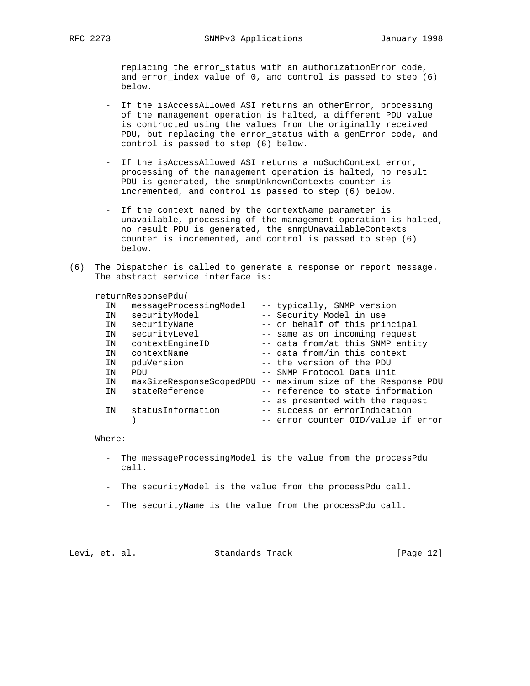replacing the error\_status with an authorizationError code, and error\_index value of 0, and control is passed to step (6) below.

- If the isAccessAllowed ASI returns an otherError, processing of the management operation is halted, a different PDU value is contructed using the values from the originally received PDU, but replacing the error\_status with a genError code, and control is passed to step (6) below.
- If the isAccessAllowed ASI returns a noSuchContext error, processing of the management operation is halted, no result PDU is generated, the snmpUnknownContexts counter is incremented, and control is passed to step (6) below.
- If the context named by the contextName parameter is unavailable, processing of the management operation is halted, no result PDU is generated, the snmpUnavailableContexts counter is incremented, and control is passed to step (6) below.
- (6) The Dispatcher is called to generate a response or report message. The abstract service interface is:

returnResponsePdu(

| ΙN | messageProcessingModel   | -- typically, SNMP version          |
|----|--------------------------|-------------------------------------|
| IN | securityModel            | -- Security Model in use            |
| IN | securityName             | -- on behalf of this principal      |
| IN | securityLevel            | -- same as on incoming request      |
| IN | contextEngineID          | -- data from/at this SNMP entity    |
| IN | contextName              | -- data from/in this context        |
| IN | pduVersion               | -- the version of the PDU           |
| ΙN | PDU                      | -- SNMP Protocol Data Unit          |
| IN | maxSizeResponseScopedPDU | -- maximum size of the Response PDU |
| IN | stateReference           | -- reference to state information   |
|    |                          | -- as presented with the request    |
| IN | statusInformation        | -- success or errorIndication       |
|    |                          | -- error counter OID/value if error |

Where:

- The messageProcessingModel is the value from the processPdu call.
- The securityModel is the value from the processPdu call.
- The securityName is the value from the processPdu call.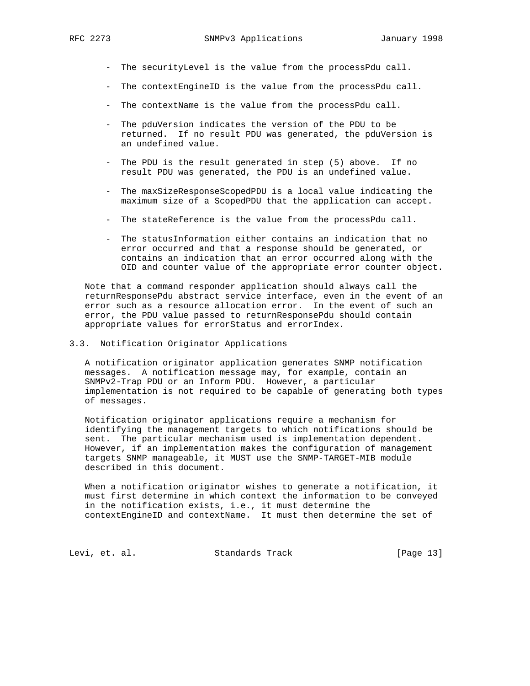- The securityLevel is the value from the processPdu call.
- The contextEngineID is the value from the processPdu call.
- The contextName is the value from the processPdu call.
- The pduVersion indicates the version of the PDU to be returned. If no result PDU was generated, the pduVersion is an undefined value.
- The PDU is the result generated in step (5) above. If no result PDU was generated, the PDU is an undefined value.
- The maxSizeResponseScopedPDU is a local value indicating the maximum size of a ScopedPDU that the application can accept.
- The stateReference is the value from the processPdu call.
- The statusInformation either contains an indication that no error occurred and that a response should be generated, or contains an indication that an error occurred along with the OID and counter value of the appropriate error counter object.

 Note that a command responder application should always call the returnResponsePdu abstract service interface, even in the event of an error such as a resource allocation error. In the event of such an error, the PDU value passed to returnResponsePdu should contain appropriate values for errorStatus and errorIndex.

3.3. Notification Originator Applications

 A notification originator application generates SNMP notification messages. A notification message may, for example, contain an SNMPv2-Trap PDU or an Inform PDU. However, a particular implementation is not required to be capable of generating both types of messages.

 Notification originator applications require a mechanism for identifying the management targets to which notifications should be sent. The particular mechanism used is implementation dependent. However, if an implementation makes the configuration of management targets SNMP manageable, it MUST use the SNMP-TARGET-MIB module described in this document.

 When a notification originator wishes to generate a notification, it must first determine in which context the information to be conveyed in the notification exists, i.e., it must determine the contextEngineID and contextName. It must then determine the set of

Levi, et. al. Standards Track [Page 13]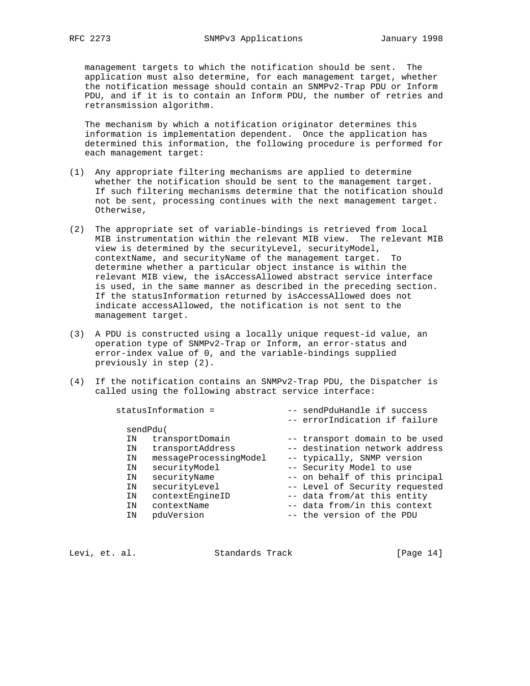management targets to which the notification should be sent. The application must also determine, for each management target, whether the notification message should contain an SNMPv2-Trap PDU or Inform PDU, and if it is to contain an Inform PDU, the number of retries and retransmission algorithm.

 The mechanism by which a notification originator determines this information is implementation dependent. Once the application has determined this information, the following procedure is performed for each management target:

- (1) Any appropriate filtering mechanisms are applied to determine whether the notification should be sent to the management target. If such filtering mechanisms determine that the notification should not be sent, processing continues with the next management target. Otherwise,
- (2) The appropriate set of variable-bindings is retrieved from local MIB instrumentation within the relevant MIB view. The relevant MIB view is determined by the securityLevel, securityModel, contextName, and securityName of the management target. To determine whether a particular object instance is within the relevant MIB view, the isAccessAllowed abstract service interface is used, in the same manner as described in the preceding section. If the statusInformation returned by isAccessAllowed does not indicate accessAllowed, the notification is not sent to the management target.
- (3) A PDU is constructed using a locally unique request-id value, an operation type of SNMPv2-Trap or Inform, an error-status and error-index value of 0, and the variable-bindings supplied previously in step (2).
- (4) If the notification contains an SNMPv2-Trap PDU, the Dispatcher is called using the following abstract service interface:

|    | statusInformation =    | -- sendPduHandle if success<br>-- errorIndication if failure |
|----|------------------------|--------------------------------------------------------------|
|    |                        |                                                              |
|    | sendPdu(               |                                                              |
| ΙN | transportDomain        | -- transport domain to be used                               |
| ΙN | transportAddress       | -- destination network address                               |
| ΙN | messageProcessingModel | -- typically, SNMP version                                   |
| ΙN | securityModel          | -- Security Model to use                                     |
| ΙN | securityName           | -- on behalf of this principal                               |
| ΙN | securityLevel          | -- Level of Security requested                               |
| ΙN | contextEngineID        | -- data from/at this entity                                  |
| ΙN | contextName            | -- data from/in this context                                 |
| ΙN | pduVersion             | -- the version of the PDU                                    |
|    |                        |                                                              |

Levi, et. al. Standards Track [Page 14]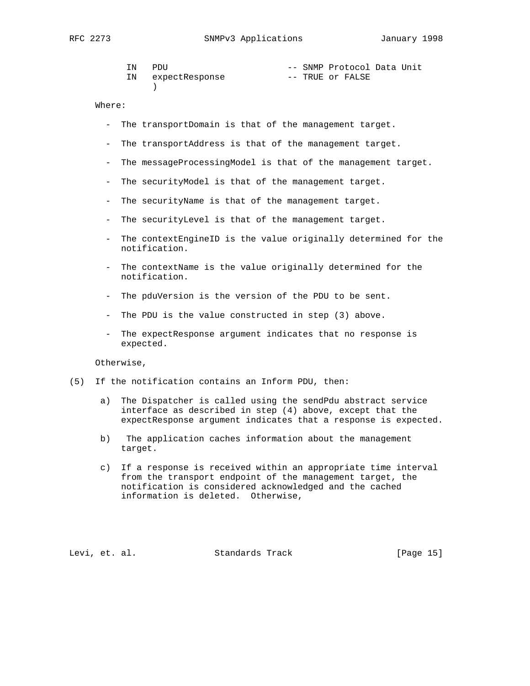| ΙN |    | PDIJ           |  | -- SNMP Protocol Data Unit |  |
|----|----|----------------|--|----------------------------|--|
|    | IN | expectResponse |  | -- TRUE or FALSE           |  |
|    |    |                |  |                            |  |

- The transportDomain is that of the management target.
- The transportAddress is that of the management target.
- The messageProcessingModel is that of the management target.
- The securityModel is that of the management target.
- The securityName is that of the management target.
- The securityLevel is that of the management target.
- The contextEngineID is the value originally determined for the notification.
- The contextName is the value originally determined for the notification.
- The pduVersion is the version of the PDU to be sent.
- The PDU is the value constructed in step (3) above.
- The expectResponse argument indicates that no response is expected.

Otherwise,

- (5) If the notification contains an Inform PDU, then:
	- a) The Dispatcher is called using the sendPdu abstract service interface as described in step (4) above, except that the expectResponse argument indicates that a response is expected.
	- b) The application caches information about the management target.
	- c) If a response is received within an appropriate time interval from the transport endpoint of the management target, the notification is considered acknowledged and the cached information is deleted. Otherwise,

Levi, et. al. Standards Track [Page 15]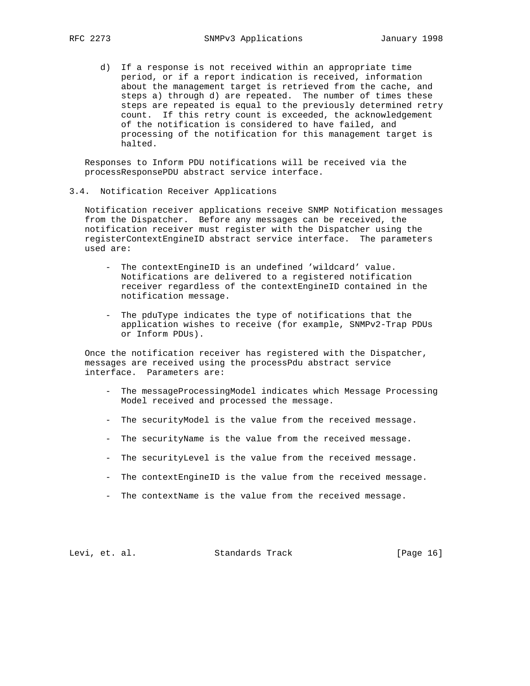d) If a response is not received within an appropriate time period, or if a report indication is received, information about the management target is retrieved from the cache, and steps a) through d) are repeated. The number of times these steps are repeated is equal to the previously determined retry count. If this retry count is exceeded, the acknowledgement of the notification is considered to have failed, and processing of the notification for this management target is halted.

 Responses to Inform PDU notifications will be received via the processResponsePDU abstract service interface.

3.4. Notification Receiver Applications

 Notification receiver applications receive SNMP Notification messages from the Dispatcher. Before any messages can be received, the notification receiver must register with the Dispatcher using the registerContextEngineID abstract service interface. The parameters used are:

- The contextEngineID is an undefined 'wildcard' value. Notifications are delivered to a registered notification receiver regardless of the contextEngineID contained in the notification message.
- The pduType indicates the type of notifications that the application wishes to receive (for example, SNMPv2-Trap PDUs or Inform PDUs).

 Once the notification receiver has registered with the Dispatcher, messages are received using the processPdu abstract service interface. Parameters are:

- The messageProcessingModel indicates which Message Processing Model received and processed the message.
- The securityModel is the value from the received message.
- The securityName is the value from the received message.
- The securityLevel is the value from the received message.
- The contextEngineID is the value from the received message.
- The contextName is the value from the received message.

Levi, et. al. Standards Track [Page 16]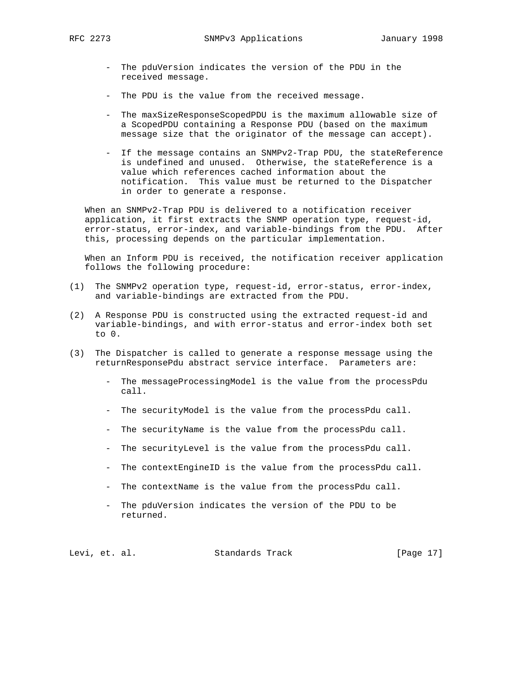- The pduVersion indicates the version of the PDU in the received message.
- The PDU is the value from the received message.
- The maxSizeResponseScopedPDU is the maximum allowable size of a ScopedPDU containing a Response PDU (based on the maximum message size that the originator of the message can accept).
- If the message contains an SNMPv2-Trap PDU, the stateReference is undefined and unused. Otherwise, the stateReference is a value which references cached information about the notification. This value must be returned to the Dispatcher in order to generate a response.

 When an SNMPv2-Trap PDU is delivered to a notification receiver application, it first extracts the SNMP operation type, request-id, error-status, error-index, and variable-bindings from the PDU. After this, processing depends on the particular implementation.

 When an Inform PDU is received, the notification receiver application follows the following procedure:

- (1) The SNMPv2 operation type, request-id, error-status, error-index, and variable-bindings are extracted from the PDU.
- (2) A Response PDU is constructed using the extracted request-id and variable-bindings, and with error-status and error-index both set to 0.
- (3) The Dispatcher is called to generate a response message using the returnResponsePdu abstract service interface. Parameters are:
	- The messageProcessingModel is the value from the processPdu call.
	- The securityModel is the value from the processPdu call.
	- The securityName is the value from the processPdu call.
	- The securityLevel is the value from the processPdu call.
	- The contextEngineID is the value from the processPdu call.
	- The contextName is the value from the processPdu call.
	- The pduVersion indicates the version of the PDU to be returned.

Levi, et. al. Standards Track [Page 17]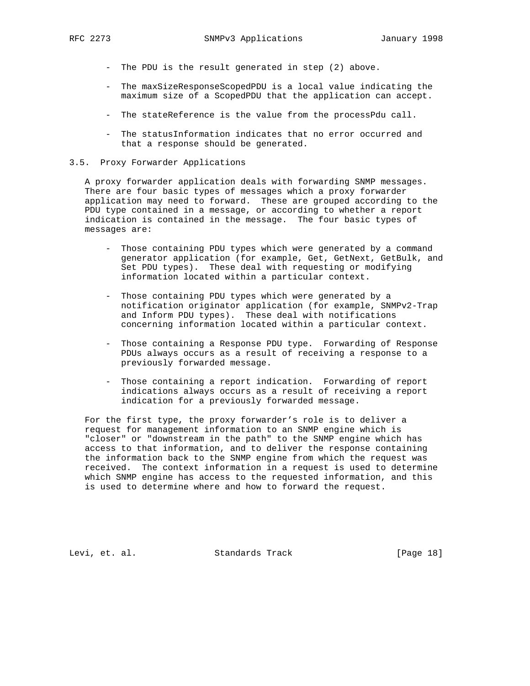- The PDU is the result generated in step (2) above.
- The maxSizeResponseScopedPDU is a local value indicating the maximum size of a ScopedPDU that the application can accept.
- The stateReference is the value from the processPdu call.
- The statusInformation indicates that no error occurred and that a response should be generated.
- 3.5. Proxy Forwarder Applications

 A proxy forwarder application deals with forwarding SNMP messages. There are four basic types of messages which a proxy forwarder application may need to forward. These are grouped according to the PDU type contained in a message, or according to whether a report indication is contained in the message. The four basic types of messages are:

- Those containing PDU types which were generated by a command generator application (for example, Get, GetNext, GetBulk, and Set PDU types). These deal with requesting or modifying information located within a particular context.
- Those containing PDU types which were generated by a notification originator application (for example, SNMPv2-Trap and Inform PDU types). These deal with notifications concerning information located within a particular context.
- Those containing a Response PDU type. Forwarding of Response PDUs always occurs as a result of receiving a response to a previously forwarded message.
- Those containing a report indication. Forwarding of report indications always occurs as a result of receiving a report indication for a previously forwarded message.

 For the first type, the proxy forwarder's role is to deliver a request for management information to an SNMP engine which is "closer" or "downstream in the path" to the SNMP engine which has access to that information, and to deliver the response containing the information back to the SNMP engine from which the request was received. The context information in a request is used to determine which SNMP engine has access to the requested information, and this is used to determine where and how to forward the request.

Levi, et. al. Standards Track [Page 18]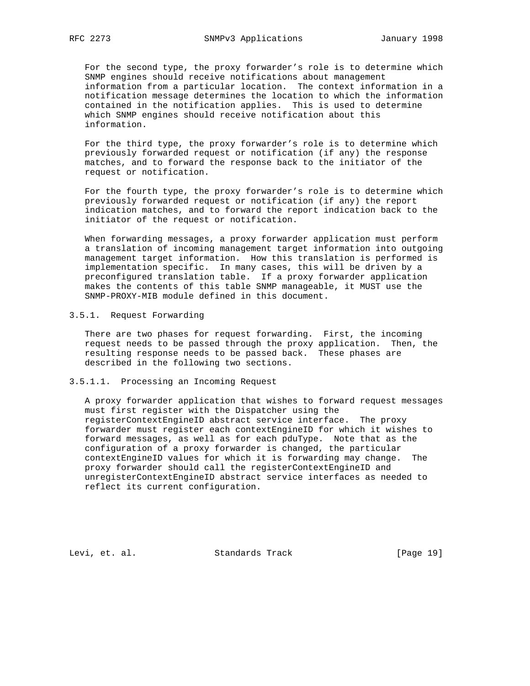For the second type, the proxy forwarder's role is to determine which SNMP engines should receive notifications about management information from a particular location. The context information in a notification message determines the location to which the information contained in the notification applies. This is used to determine which SNMP engines should receive notification about this information.

 For the third type, the proxy forwarder's role is to determine which previously forwarded request or notification (if any) the response matches, and to forward the response back to the initiator of the request or notification.

 For the fourth type, the proxy forwarder's role is to determine which previously forwarded request or notification (if any) the report indication matches, and to forward the report indication back to the initiator of the request or notification.

 When forwarding messages, a proxy forwarder application must perform a translation of incoming management target information into outgoing management target information. How this translation is performed is implementation specific. In many cases, this will be driven by a preconfigured translation table. If a proxy forwarder application makes the contents of this table SNMP manageable, it MUST use the SNMP-PROXY-MIB module defined in this document.

### 3.5.1. Request Forwarding

 There are two phases for request forwarding. First, the incoming request needs to be passed through the proxy application. Then, the resulting response needs to be passed back. These phases are described in the following two sections.

### 3.5.1.1. Processing an Incoming Request

 A proxy forwarder application that wishes to forward request messages must first register with the Dispatcher using the registerContextEngineID abstract service interface. The proxy forwarder must register each contextEngineID for which it wishes to forward messages, as well as for each pduType. Note that as the configuration of a proxy forwarder is changed, the particular contextEngineID values for which it is forwarding may change. The proxy forwarder should call the registerContextEngineID and unregisterContextEngineID abstract service interfaces as needed to reflect its current configuration.

Levi, et. al. Standards Track [Page 19]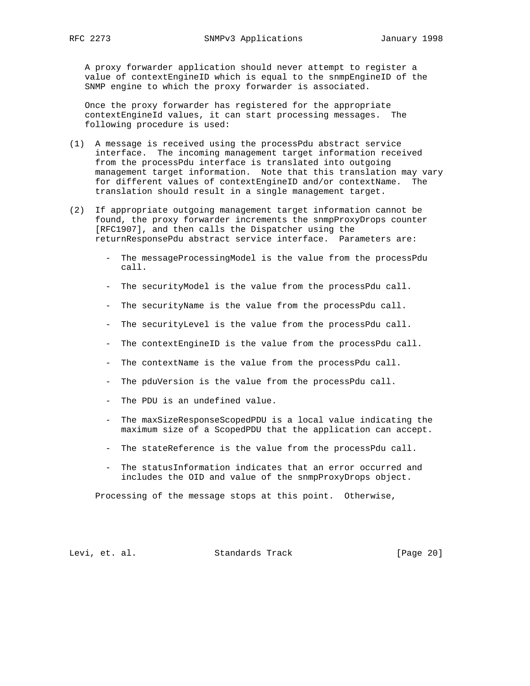A proxy forwarder application should never attempt to register a value of contextEngineID which is equal to the snmpEngineID of the SNMP engine to which the proxy forwarder is associated.

 Once the proxy forwarder has registered for the appropriate contextEngineId values, it can start processing messages. The following procedure is used:

- (1) A message is received using the processPdu abstract service interface. The incoming management target information received from the processPdu interface is translated into outgoing management target information. Note that this translation may vary for different values of contextEngineID and/or contextName. The translation should result in a single management target.
- (2) If appropriate outgoing management target information cannot be found, the proxy forwarder increments the snmpProxyDrops counter [RFC1907], and then calls the Dispatcher using the returnResponsePdu abstract service interface. Parameters are:
	- The messageProcessingModel is the value from the processPdu call.
	- The securityModel is the value from the processPdu call.
	- The securityName is the value from the processPdu call.
	- The securityLevel is the value from the processPdu call.
	- The contextEngineID is the value from the processPdu call.
	- The contextName is the value from the processPdu call.
	- The pduVersion is the value from the processPdu call.
	- The PDU is an undefined value.
	- The maxSizeResponseScopedPDU is a local value indicating the maximum size of a ScopedPDU that the application can accept.
	- The stateReference is the value from the processPdu call.
	- The statusInformation indicates that an error occurred and includes the OID and value of the snmpProxyDrops object.

Processing of the message stops at this point. Otherwise,

Levi, et. al. Standards Track [Page 20]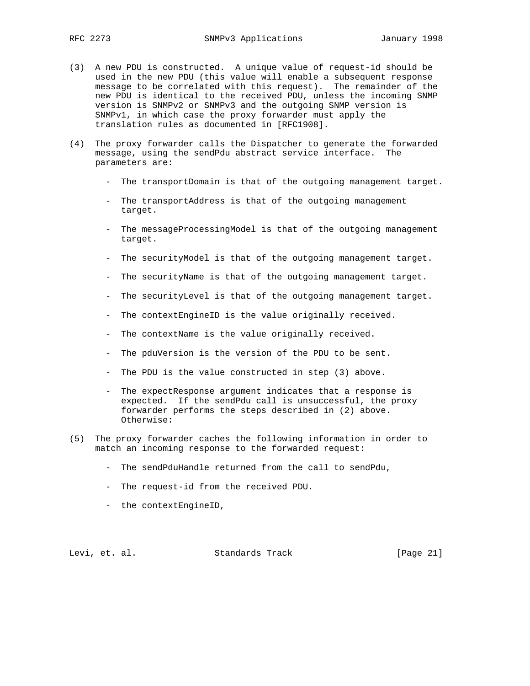- (3) A new PDU is constructed. A unique value of request-id should be used in the new PDU (this value will enable a subsequent response message to be correlated with this request). The remainder of the new PDU is identical to the received PDU, unless the incoming SNMP version is SNMPv2 or SNMPv3 and the outgoing SNMP version is SNMPv1, in which case the proxy forwarder must apply the translation rules as documented in [RFC1908].
- (4) The proxy forwarder calls the Dispatcher to generate the forwarded message, using the sendPdu abstract service interface. The parameters are:
	- The transportDomain is that of the outgoing management target.
	- The transportAddress is that of the outgoing management target.
	- The messageProcessingModel is that of the outgoing management target.
	- The securityModel is that of the outgoing management target.
	- The securityName is that of the outgoing management target.
	- The securityLevel is that of the outgoing management target.
	- The contextEngineID is the value originally received.
	- The contextName is the value originally received.
	- The pduVersion is the version of the PDU to be sent.
	- The PDU is the value constructed in step (3) above.
	- The expectResponse argument indicates that a response is expected. If the sendPdu call is unsuccessful, the proxy forwarder performs the steps described in (2) above. Otherwise:
- (5) The proxy forwarder caches the following information in order to match an incoming response to the forwarded request:
	- The sendPduHandle returned from the call to sendPdu,
	- The request-id from the received PDU.
	- the contextEngineID,

Levi, et. al. Standards Track [Page 21]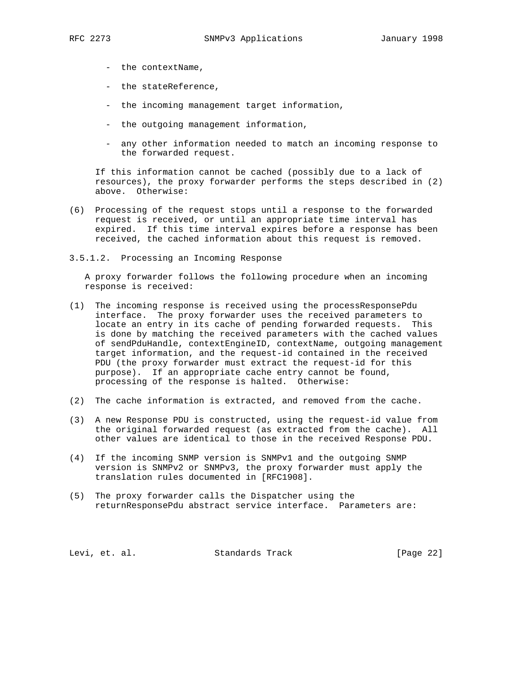- the contextName,
- the stateReference,
- the incoming management target information,
- the outgoing management information,
- any other information needed to match an incoming response to the forwarded request.

 If this information cannot be cached (possibly due to a lack of resources), the proxy forwarder performs the steps described in (2) above. Otherwise:

- (6) Processing of the request stops until a response to the forwarded request is received, or until an appropriate time interval has expired. If this time interval expires before a response has been received, the cached information about this request is removed.
- 3.5.1.2. Processing an Incoming Response

 A proxy forwarder follows the following procedure when an incoming response is received:

- (1) The incoming response is received using the processResponsePdu interface. The proxy forwarder uses the received parameters to locate an entry in its cache of pending forwarded requests. This is done by matching the received parameters with the cached values of sendPduHandle, contextEngineID, contextName, outgoing management target information, and the request-id contained in the received PDU (the proxy forwarder must extract the request-id for this purpose). If an appropriate cache entry cannot be found, processing of the response is halted. Otherwise:
- (2) The cache information is extracted, and removed from the cache.
- (3) A new Response PDU is constructed, using the request-id value from the original forwarded request (as extracted from the cache). All other values are identical to those in the received Response PDU.
- (4) If the incoming SNMP version is SNMPv1 and the outgoing SNMP version is SNMPv2 or SNMPv3, the proxy forwarder must apply the translation rules documented in [RFC1908].
- (5) The proxy forwarder calls the Dispatcher using the returnResponsePdu abstract service interface. Parameters are:

Levi, et. al. Standards Track [Page 22]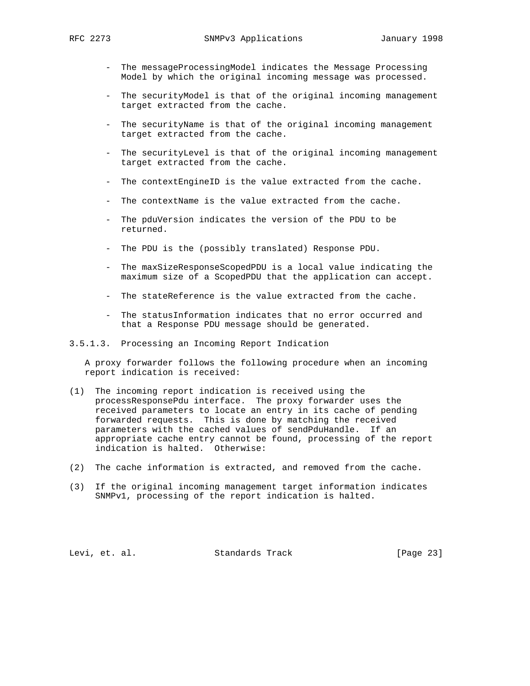- The messageProcessingModel indicates the Message Processing Model by which the original incoming message was processed.
- The securityModel is that of the original incoming management target extracted from the cache.
- The securityName is that of the original incoming management target extracted from the cache.
- The securityLevel is that of the original incoming management target extracted from the cache.
- The contextEngineID is the value extracted from the cache.
- The contextName is the value extracted from the cache.
- The pduVersion indicates the version of the PDU to be returned.
- The PDU is the (possibly translated) Response PDU.
- The maxSizeResponseScopedPDU is a local value indicating the maximum size of a ScopedPDU that the application can accept.
- The stateReference is the value extracted from the cache.
- The statusInformation indicates that no error occurred and that a Response PDU message should be generated.
- 3.5.1.3. Processing an Incoming Report Indication

 A proxy forwarder follows the following procedure when an incoming report indication is received:

- (1) The incoming report indication is received using the processResponsePdu interface. The proxy forwarder uses the received parameters to locate an entry in its cache of pending forwarded requests. This is done by matching the received parameters with the cached values of sendPduHandle. If an appropriate cache entry cannot be found, processing of the report indication is halted. Otherwise:
- (2) The cache information is extracted, and removed from the cache.
- (3) If the original incoming management target information indicates SNMPv1, processing of the report indication is halted.

Levi, et. al. Standards Track [Page 23]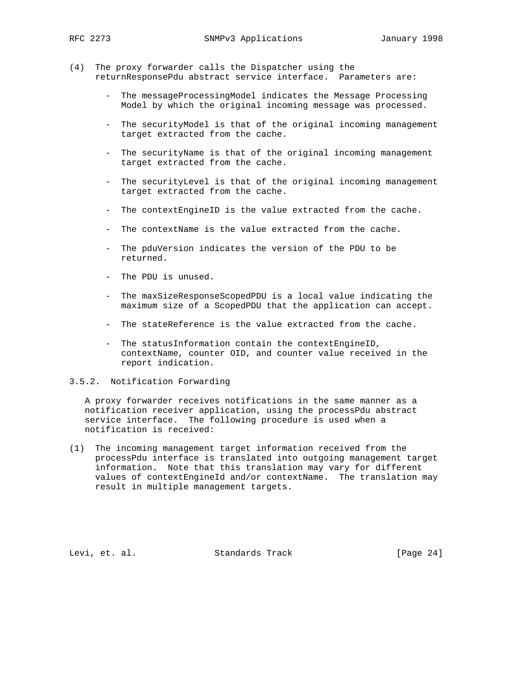- (4) The proxy forwarder calls the Dispatcher using the returnResponsePdu abstract service interface. Parameters are:
	- The messageProcessingModel indicates the Message Processing Model by which the original incoming message was processed.
	- The securityModel is that of the original incoming management target extracted from the cache.
	- The securityName is that of the original incoming management target extracted from the cache.
	- The securityLevel is that of the original incoming management target extracted from the cache.
	- The contextEngineID is the value extracted from the cache.
	- The contextName is the value extracted from the cache.
	- The pduVersion indicates the version of the PDU to be returned.
	- The PDU is unused.
	- The maxSizeResponseScopedPDU is a local value indicating the maximum size of a ScopedPDU that the application can accept.
	- The stateReference is the value extracted from the cache.
	- The statusInformation contain the contextEngineID, contextName, counter OID, and counter value received in the report indication.

### 3.5.2. Notification Forwarding

 A proxy forwarder receives notifications in the same manner as a notification receiver application, using the processPdu abstract service interface. The following procedure is used when a notification is received:

(1) The incoming management target information received from the processPdu interface is translated into outgoing management target information. Note that this translation may vary for different values of contextEngineId and/or contextName. The translation may result in multiple management targets.

Levi, et. al. Standards Track [Page 24]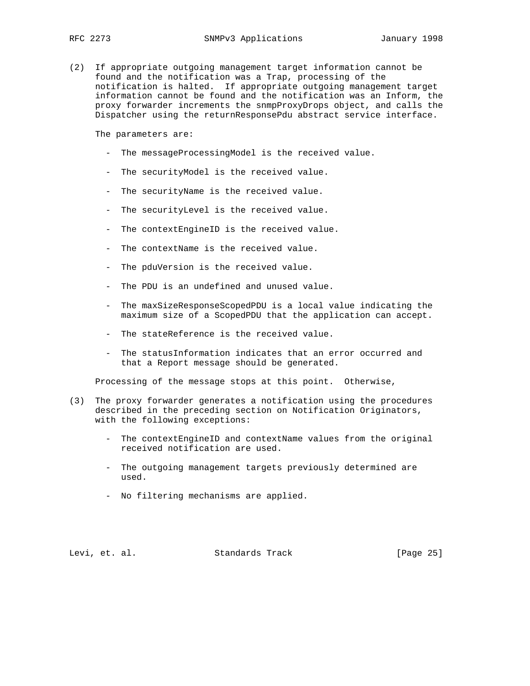(2) If appropriate outgoing management target information cannot be found and the notification was a Trap, processing of the notification is halted. If appropriate outgoing management target information cannot be found and the notification was an Inform, the proxy forwarder increments the snmpProxyDrops object, and calls the Dispatcher using the returnResponsePdu abstract service interface.

The parameters are:

- The messageProcessingModel is the received value.
- The securityModel is the received value.
- The securityName is the received value.
- The securityLevel is the received value.
- The contextEngineID is the received value.
- The contextName is the received value.
- The pduVersion is the received value.
- The PDU is an undefined and unused value.
- The maxSizeResponseScopedPDU is a local value indicating the maximum size of a ScopedPDU that the application can accept.
- The stateReference is the received value.
- The statusInformation indicates that an error occurred and that a Report message should be generated.

Processing of the message stops at this point. Otherwise,

- (3) The proxy forwarder generates a notification using the procedures described in the preceding section on Notification Originators, with the following exceptions:
	- The contextEngineID and contextName values from the original received notification are used.
	- The outgoing management targets previously determined are used.
	- No filtering mechanisms are applied.

Levi, et. al. Standards Track [Page 25]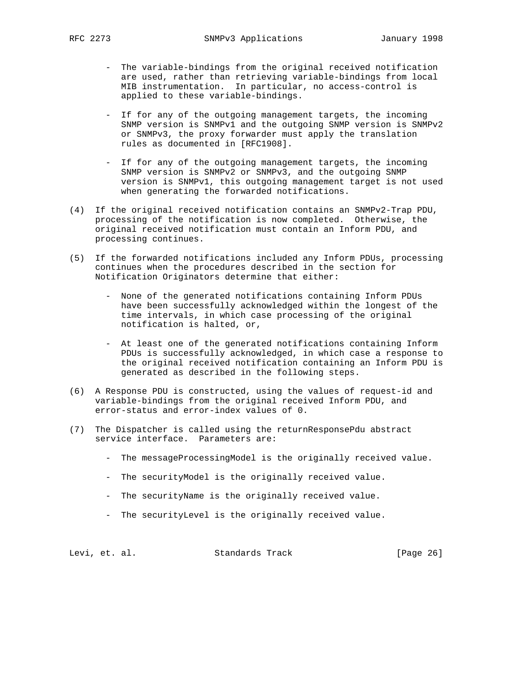- The variable-bindings from the original received notification are used, rather than retrieving variable-bindings from local MIB instrumentation. In particular, no access-control is applied to these variable-bindings.
- If for any of the outgoing management targets, the incoming SNMP version is SNMPv1 and the outgoing SNMP version is SNMPv2 or SNMPv3, the proxy forwarder must apply the translation rules as documented in [RFC1908].
- If for any of the outgoing management targets, the incoming SNMP version is SNMPv2 or SNMPv3, and the outgoing SNMP version is SNMPv1, this outgoing management target is not used when generating the forwarded notifications.
- (4) If the original received notification contains an SNMPv2-Trap PDU, processing of the notification is now completed. Otherwise, the original received notification must contain an Inform PDU, and processing continues.
- (5) If the forwarded notifications included any Inform PDUs, processing continues when the procedures described in the section for Notification Originators determine that either:
	- None of the generated notifications containing Inform PDUs have been successfully acknowledged within the longest of the time intervals, in which case processing of the original notification is halted, or,
	- At least one of the generated notifications containing Inform PDUs is successfully acknowledged, in which case a response to the original received notification containing an Inform PDU is generated as described in the following steps.
- (6) A Response PDU is constructed, using the values of request-id and variable-bindings from the original received Inform PDU, and error-status and error-index values of 0.
- (7) The Dispatcher is called using the returnResponsePdu abstract service interface. Parameters are:
	- The messageProcessingModel is the originally received value.
	- The securityModel is the originally received value.
	- The securityName is the originally received value.
	- The securityLevel is the originally received value.

Levi, et. al. Standards Track [Page 26]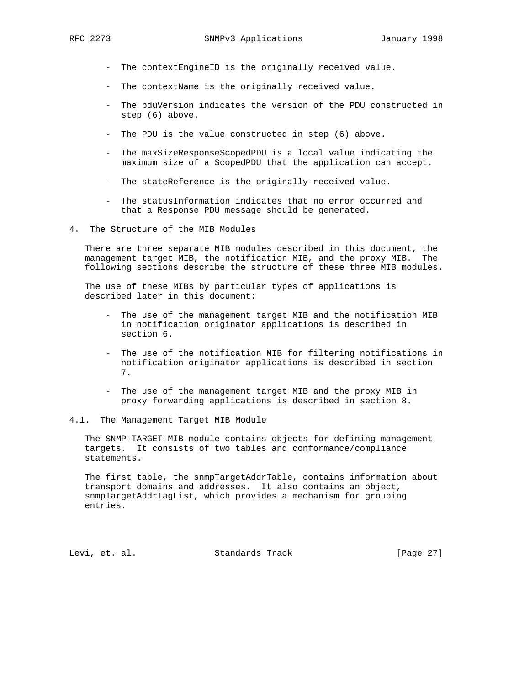- The contextEngineID is the originally received value.
- The contextName is the originally received value.
- The pduVersion indicates the version of the PDU constructed in step (6) above.
- The PDU is the value constructed in step (6) above.
- The maxSizeResponseScopedPDU is a local value indicating the maximum size of a ScopedPDU that the application can accept.
- The stateReference is the originally received value.
- The statusInformation indicates that no error occurred and that a Response PDU message should be generated.
- 4. The Structure of the MIB Modules

 There are three separate MIB modules described in this document, the management target MIB, the notification MIB, and the proxy MIB. The following sections describe the structure of these three MIB modules.

 The use of these MIBs by particular types of applications is described later in this document:

- The use of the management target MIB and the notification MIB in notification originator applications is described in section 6.
- The use of the notification MIB for filtering notifications in notification originator applications is described in section 7.
- The use of the management target MIB and the proxy MIB in proxy forwarding applications is described in section 8.
- 4.1. The Management Target MIB Module

 The SNMP-TARGET-MIB module contains objects for defining management targets. It consists of two tables and conformance/compliance statements.

 The first table, the snmpTargetAddrTable, contains information about transport domains and addresses. It also contains an object, snmpTargetAddrTagList, which provides a mechanism for grouping entries.

Levi, et. al. Standards Track [Page 27]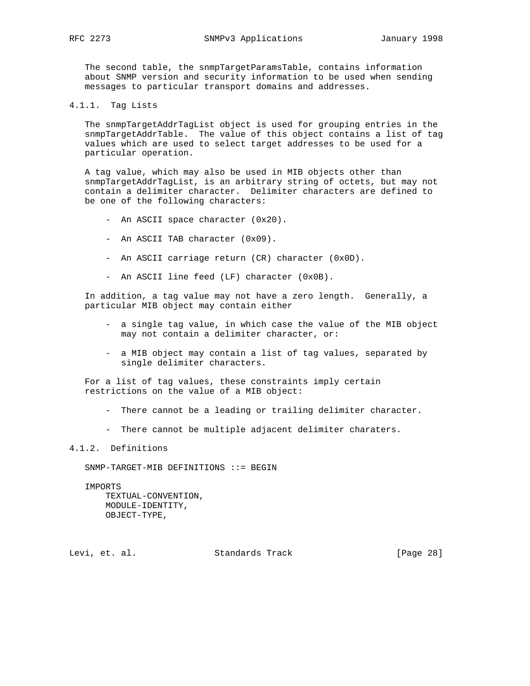The second table, the snmpTargetParamsTable, contains information about SNMP version and security information to be used when sending messages to particular transport domains and addresses.

4.1.1. Tag Lists

 The snmpTargetAddrTagList object is used for grouping entries in the snmpTargetAddrTable. The value of this object contains a list of tag values which are used to select target addresses to be used for a particular operation.

 A tag value, which may also be used in MIB objects other than snmpTargetAddrTagList, is an arbitrary string of octets, but may not contain a delimiter character. Delimiter characters are defined to be one of the following characters:

- An ASCII space character (0x20).
- An ASCII TAB character (0x09).
- An ASCII carriage return (CR) character (0x0D).
- An ASCII line feed (LF) character (0x0B).

 In addition, a tag value may not have a zero length. Generally, a particular MIB object may contain either

- a single tag value, in which case the value of the MIB object may not contain a delimiter character, or:
- a MIB object may contain a list of tag values, separated by single delimiter characters.

 For a list of tag values, these constraints imply certain restrictions on the value of a MIB object:

- There cannot be a leading or trailing delimiter character.
- There cannot be multiple adjacent delimiter charaters.

#### 4.1.2. Definitions

SNMP-TARGET-MIB DEFINITIONS ::= BEGIN

IMPORTS

 TEXTUAL-CONVENTION, MODULE-IDENTITY, OBJECT-TYPE,

Levi, et. al. Standards Track [Page 28]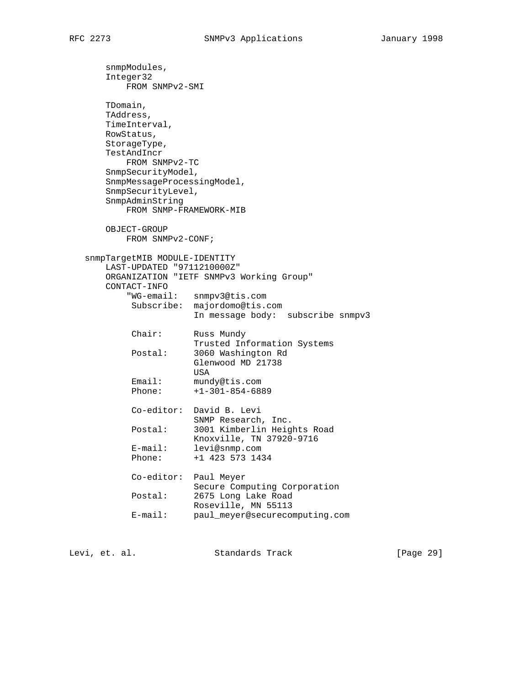snmpModules, Integer32 FROM SNMPv2-SMI TDomain, TAddress, TimeInterval, RowStatus, StorageType, TestAndIncr FROM SNMPv2-TC SnmpSecurityModel, SnmpMessageProcessingModel, SnmpSecurityLevel, SnmpAdminString FROM SNMP-FRAMEWORK-MIB OBJECT-GROUP FROM SNMPv2-CONF; snmpTargetMIB MODULE-IDENTITY LAST-UPDATED "9711210000Z" ORGANIZATION "IETF SNMPv3 Working Group" CONTACT-INFO "WG-email: snmpv3@tis.com Subscribe: majordomo@tis.com In message body: subscribe snmpv3 Chair: Russ Mundy Trusted Information Systems Postal: 3060 Washington Rd Glenwood MD 21738 USA Email: mundy@tis.com Phone: +1-301-854-6889 Co-editor: David B. Levi SNMP Research, Inc. Postal: 3001 Kimberlin Heights Road Knoxville, TN 37920-9716 E-mail: levi@snmp.com Phone: +1 423 573 1434 Co-editor: Paul Meyer Secure Computing Corporation Postal: 2675 Long Lake Road Roseville, MN 55113 E-mail: paul\_meyer@securecomputing.com

Levi, et. al. Standards Track [Page 29]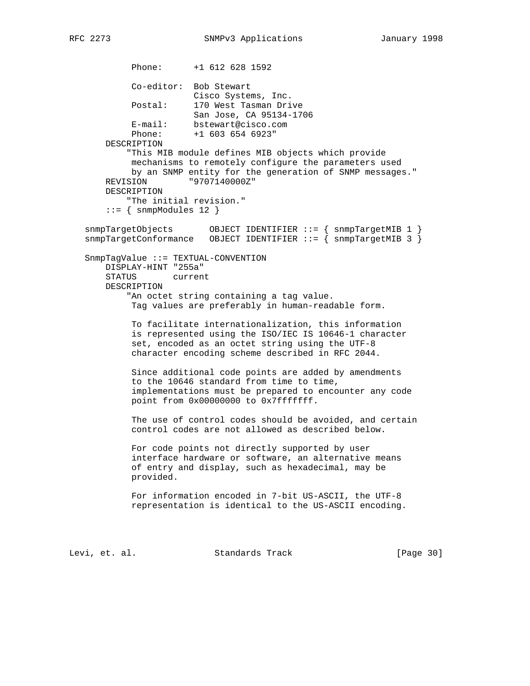Phone: +1 612 628 1592 Co-editor: Bob Stewart Cisco Systems, Inc. Postal: 170 West Tasman Drive San Jose, CA 95134-1706 E-mail: bstewart@cisco.com<br>phono: 1.602.654.6000; Phone: +1 603 654 6923" DESCRIPTION "This MIB module defines MIB objects which provide mechanisms to remotely configure the parameters used by an SNMP entity for the generation of SNMP messages." REVISION "9707140000Z" DESCRIPTION "The initial revision." ::= { snmpModules 12 } snmpTargetObjects OBJECT IDENTIFIER ::= { snmpTargetMIB 1 }  $s$ nmpTargetConformance OBJECT IDENTIFIER ::= {  $s$  snmpTargetMIB 3 } SnmpTagValue ::= TEXTUAL-CONVENTION DISPLAY-HINT "255a" STATUS current DESCRIPTION "An octet string containing a tag value. Tag values are preferably in human-readable form. To facilitate internationalization, this information is represented using the ISO/IEC IS 10646-1 character set, encoded as an octet string using the UTF-8 character encoding scheme described in RFC 2044. Since additional code points are added by amendments to the 10646 standard from time to time, implementations must be prepared to encounter any code point from 0x00000000 to 0x7fffffff. The use of control codes should be avoided, and certain control codes are not allowed as described below. For code points not directly supported by user interface hardware or software, an alternative means of entry and display, such as hexadecimal, may be provided. For information encoded in 7-bit US-ASCII, the UTF-8 representation is identical to the US-ASCII encoding. Levi, et. al. Standards Track [Page 30]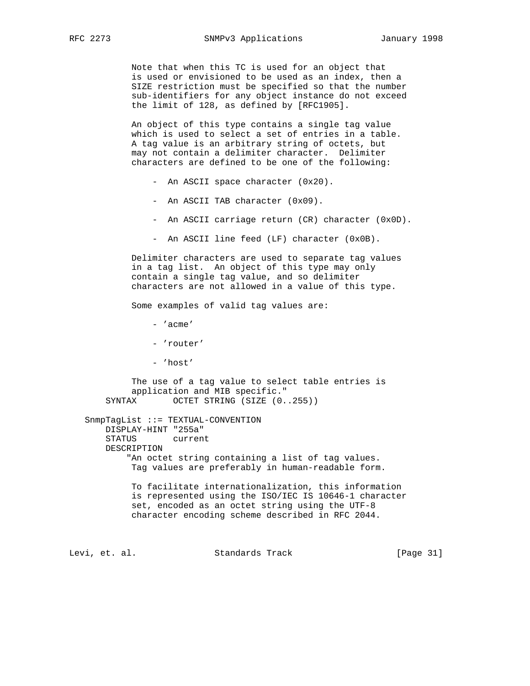Note that when this TC is used for an object that is used or envisioned to be used as an index, then a SIZE restriction must be specified so that the number sub-identifiers for any object instance do not exceed the limit of 128, as defined by [RFC1905].

 An object of this type contains a single tag value which is used to select a set of entries in a table. A tag value is an arbitrary string of octets, but may not contain a delimiter character. Delimiter characters are defined to be one of the following:

- An ASCII space character (0x20).
- An ASCII TAB character (0x09).
- An ASCII carriage return (CR) character (0x0D).
- An ASCII line feed (LF) character (0x0B).

 Delimiter characters are used to separate tag values in a tag list. An object of this type may only contain a single tag value, and so delimiter characters are not allowed in a value of this type.

Some examples of valid tag values are:

- 'acme'
- 'router'
- 'host'

 The use of a tag value to select table entries is application and MIB specific." SYNTAX OCTET STRING (SIZE (0..255))

 SnmpTagList ::= TEXTUAL-CONVENTION DISPLAY-HINT "255a" STATUS current DESCRIPTION "An octet string containing a list of tag values. Tag values are preferably in human-readable form.

> To facilitate internationalization, this information is represented using the ISO/IEC IS 10646-1 character set, encoded as an octet string using the UTF-8 character encoding scheme described in RFC 2044.

Levi, et. al. Standards Track [Page 31]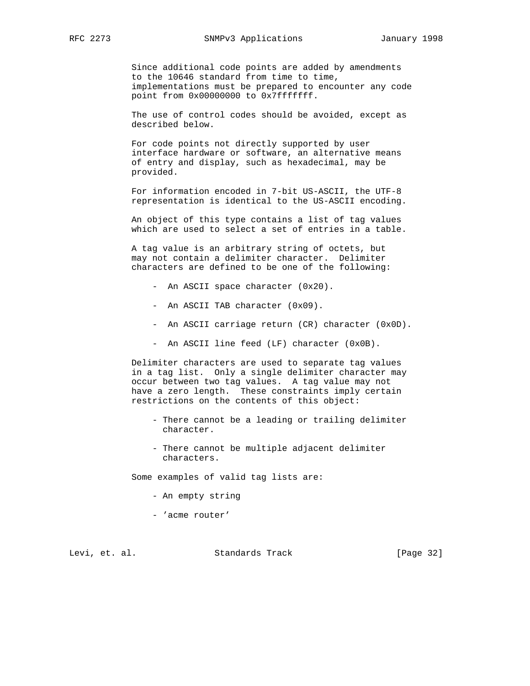Since additional code points are added by amendments to the 10646 standard from time to time, implementations must be prepared to encounter any code point from 0x00000000 to 0x7fffffff.

 The use of control codes should be avoided, except as described below.

 For code points not directly supported by user interface hardware or software, an alternative means of entry and display, such as hexadecimal, may be provided.

 For information encoded in 7-bit US-ASCII, the UTF-8 representation is identical to the US-ASCII encoding.

 An object of this type contains a list of tag values which are used to select a set of entries in a table.

 A tag value is an arbitrary string of octets, but may not contain a delimiter character. Delimiter characters are defined to be one of the following:

- An ASCII space character (0x20).
- An ASCII TAB character (0x09).
- An ASCII carriage return (CR) character (0x0D).
- An ASCII line feed (LF) character (0x0B).

 Delimiter characters are used to separate tag values in a tag list. Only a single delimiter character may occur between two tag values. A tag value may not have a zero length. These constraints imply certain restrictions on the contents of this object:

- There cannot be a leading or trailing delimiter character.
- There cannot be multiple adjacent delimiter characters.

Some examples of valid tag lists are:

- An empty string
- 'acme router'

Levi, et. al. Standards Track [Page 32]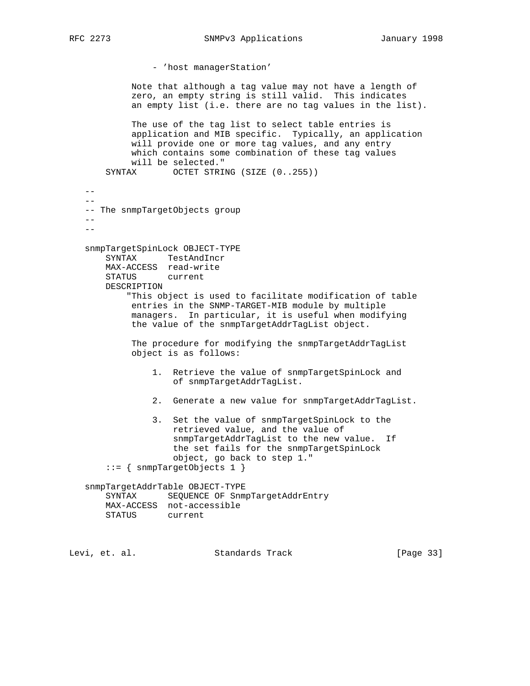```
 - 'host managerStation'
            Note that although a tag value may not have a length of
            zero, an empty string is still valid. This indicates
            an empty list (i.e. there are no tag values in the list).
            The use of the tag list to select table entries is
            application and MIB specific. Typically, an application
            will provide one or more tag values, and any entry
            which contains some combination of these tag values
            will be selected."
       SYNTAX OCTET STRING (SIZE (0..255))
  -- -- The snmpTargetObjects group
  -\,-- - snmpTargetSpinLock OBJECT-TYPE
       SYNTAX TestAndIncr
       MAX-ACCESS read-write
       STATUS current
       DESCRIPTION
            "This object is used to facilitate modification of table
            entries in the SNMP-TARGET-MIB module by multiple
            managers. In particular, it is useful when modifying
            the value of the snmpTargetAddrTagList object.
            The procedure for modifying the snmpTargetAddrTagList
            object is as follows:
                1. Retrieve the value of snmpTargetSpinLock and
                    of snmpTargetAddrTagList.
                2. Generate a new value for snmpTargetAddrTagList.
                3. Set the value of snmpTargetSpinLock to the
                    retrieved value, and the value of
                    snmpTargetAddrTagList to the new value. If
                    the set fails for the snmpTargetSpinLock
                    object, go back to step 1."
       ::= { snmpTargetObjects 1 }
   snmpTargetAddrTable OBJECT-TYPE
       SYNTAX SEQUENCE OF SnmpTargetAddrEntry
       MAX-ACCESS not-accessible
       STATUS current
```
Levi, et. al. Standards Track [Page 33]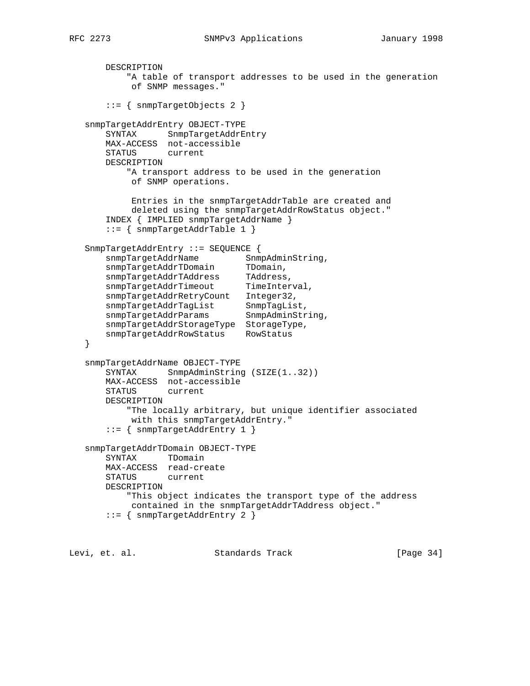```
 DESCRIPTION
           "A table of transport addresses to be used in the generation
           of SNMP messages."
       ::= { snmpTargetObjects 2 }
   snmpTargetAddrEntry OBJECT-TYPE
       SYNTAX SnmpTargetAddrEntry
       MAX-ACCESS not-accessible
       STATUS current
       DESCRIPTION
           "A transport address to be used in the generation
           of SNMP operations.
            Entries in the snmpTargetAddrTable are created and
            deleted using the snmpTargetAddrRowStatus object."
       INDEX { IMPLIED snmpTargetAddrName }
       ::= { snmpTargetAddrTable 1 }
   SnmpTargetAddrEntry ::= SEQUENCE {
snmpTargetAddrName SnmpAdminString,
snmpTargetAddrTDomain TDomain,
 snmpTargetAddrTAddress TAddress,
snmpTargetAddrTimeout TimeInterval,
       snmpTargetAddrRetryCount Integer32,
snmpTargetAddrTagList SnmpTagList,
snmpTargetAddrParams SnmpAdminString,
 snmpTargetAddrStorageType StorageType,
       snmpTargetAddrRowStatus RowStatus
   }
   snmpTargetAddrName OBJECT-TYPE
      SYNTAX SnmpAdminString (SIZE(1..32))
       MAX-ACCESS not-accessible
       STATUS current
       DESCRIPTION
           "The locally arbitrary, but unique identifier associated
            with this snmpTargetAddrEntry."
       ::= { snmpTargetAddrEntry 1 }
   snmpTargetAddrTDomain OBJECT-TYPE
       SYNTAX TDomain
       MAX-ACCESS read-create
       STATUS current
       DESCRIPTION
           "This object indicates the transport type of the address
           contained in the snmpTargetAddrTAddress object."
       ::= { snmpTargetAddrEntry 2 }
```
Levi, et. al. Standards Track [Page 34]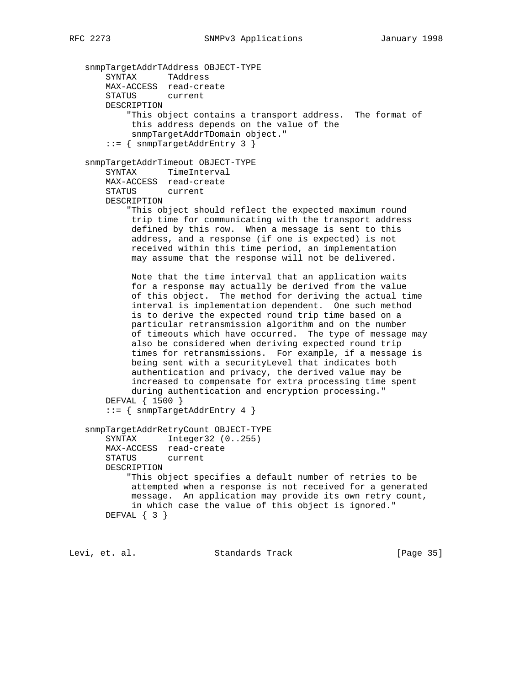```
 snmpTargetAddrTAddress OBJECT-TYPE
    SYNTAX TAddress
    MAX-ACCESS read-create
    STATUS current
    DESCRIPTION
         "This object contains a transport address. The format of
         this address depends on the value of the
         snmpTargetAddrTDomain object."
     ::= { snmpTargetAddrEntry 3 }
 snmpTargetAddrTimeout OBJECT-TYPE
    SYNTAX TimeInterval
    MAX-ACCESS read-create
    STATUS current
    DESCRIPTION
         "This object should reflect the expected maximum round
         trip time for communicating with the transport address
         defined by this row. When a message is sent to this
         address, and a response (if one is expected) is not
         received within this time period, an implementation
         may assume that the response will not be delivered.
         Note that the time interval that an application waits
         for a response may actually be derived from the value
         of this object. The method for deriving the actual time
         interval is implementation dependent. One such method
         is to derive the expected round trip time based on a
         particular retransmission algorithm and on the number
         of timeouts which have occurred. The type of message may
         also be considered when deriving expected round trip
         times for retransmissions. For example, if a message is
         being sent with a securityLevel that indicates both
         authentication and privacy, the derived value may be
         increased to compensate for extra processing time spent
         during authentication and encryption processing."
    DEFVAL { 1500 }
     ::= { snmpTargetAddrEntry 4 }
 snmpTargetAddrRetryCount OBJECT-TYPE
    SYNTAX Integer32 (0..255)
    MAX-ACCESS read-create
    STATUS current
    DESCRIPTION
         "This object specifies a default number of retries to be
         attempted when a response is not received for a generated
         message. An application may provide its own retry count,
         in which case the value of this object is ignored."
    DEFVAL { 3 }
```
Levi, et. al. Standards Track [Page 35]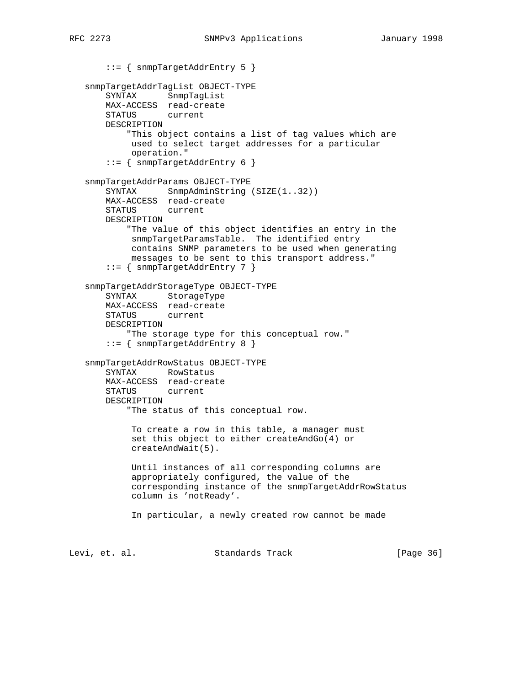```
 ::= { snmpTargetAddrEntry 5 }
    snmpTargetAddrTagList OBJECT-TYPE
       SYNTAX SnmpTagList
       MAX-ACCESS read-create
       STATUS current
       DESCRIPTION
            "This object contains a list of tag values which are
            used to select target addresses for a particular
            operation."
        ::= { snmpTargetAddrEntry 6 }
    snmpTargetAddrParams OBJECT-TYPE
       SYNTAX SnmpAdminString (SIZE(1..32))
        MAX-ACCESS read-create
        STATUS current
       DESCRIPTION
            "The value of this object identifies an entry in the
            snmpTargetParamsTable. The identified entry
            contains SNMP parameters to be used when generating
            messages to be sent to this transport address."
        ::= { snmpTargetAddrEntry 7 }
    snmpTargetAddrStorageType OBJECT-TYPE
       SYNTAX StorageType
       MAX-ACCESS read-create
       STATUS current
       DESCRIPTION
            "The storage type for this conceptual row."
        ::= { snmpTargetAddrEntry 8 }
    snmpTargetAddrRowStatus OBJECT-TYPE
       SYNTAX RowStatus
       MAX-ACCESS read-create
       STATUS current
       DESCRIPTION
            "The status of this conceptual row.
             To create a row in this table, a manager must
             set this object to either createAndGo(4) or
             createAndWait(5).
            Until instances of all corresponding columns are
             appropriately configured, the value of the
             corresponding instance of the snmpTargetAddrRowStatus
            column is 'notReady'.
             In particular, a newly created row cannot be made
Levi, et. al.                 Standards Track                 [Page 36]
```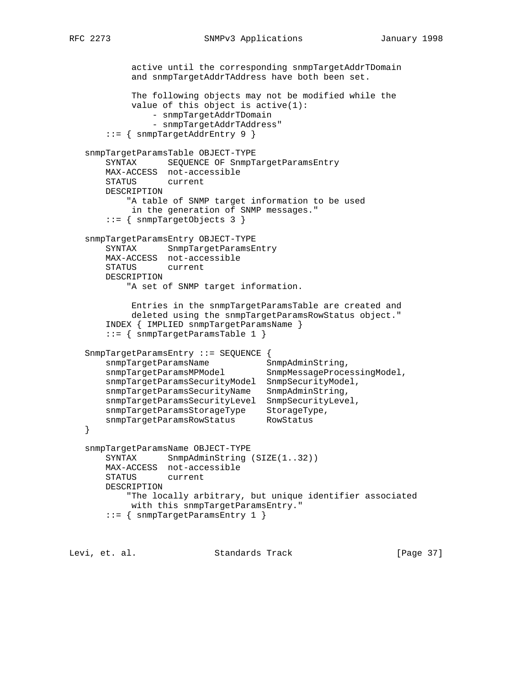```
 active until the corresponding snmpTargetAddrTDomain
            and snmpTargetAddrTAddress have both been set.
            The following objects may not be modified while the
            value of this object is active(1):
                - snmpTargetAddrTDomain
                - snmpTargetAddrTAddress"
       ::= { snmpTargetAddrEntry 9 }
   snmpTargetParamsTable OBJECT-TYPE
       SYNTAX SEQUENCE OF SnmpTargetParamsEntry
       MAX-ACCESS not-accessible
       STATUS current
       DESCRIPTION
           "A table of SNMP target information to be used
            in the generation of SNMP messages."
       ::= { snmpTargetObjects 3 }
   snmpTargetParamsEntry OBJECT-TYPE
       SYNTAX SnmpTargetParamsEntry
       MAX-ACCESS not-accessible
       STATUS current
       DESCRIPTION
           "A set of SNMP target information.
            Entries in the snmpTargetParamsTable are created and
            deleted using the snmpTargetParamsRowStatus object."
       INDEX { IMPLIED snmpTargetParamsName }
       ::= { snmpTargetParamsTable 1 }
   SnmpTargetParamsEntry ::= SEQUENCE {
snmpTargetParamsName SnmpAdminString,
 snmpTargetParamsMPModel SnmpMessageProcessingModel,
       snmpTargetParamsSecurityModel SnmpSecurityModel,
       snmpTargetParamsSecurityName SnmpAdminString,
       snmpTargetParamsSecurityLevel SnmpSecurityLevel,
 snmpTargetParamsStorageType StorageType,
 snmpTargetParamsRowStatus RowStatus
   }
   snmpTargetParamsName OBJECT-TYPE
      SYNTAX SnmpAdminString (SIZE(1..32))
       MAX-ACCESS not-accessible
       STATUS current
       DESCRIPTION
           "The locally arbitrary, but unique identifier associated
            with this snmpTargetParamsEntry."
       ::= { snmpTargetParamsEntry 1 }
```
Levi, et. al. Standards Track [Page 37]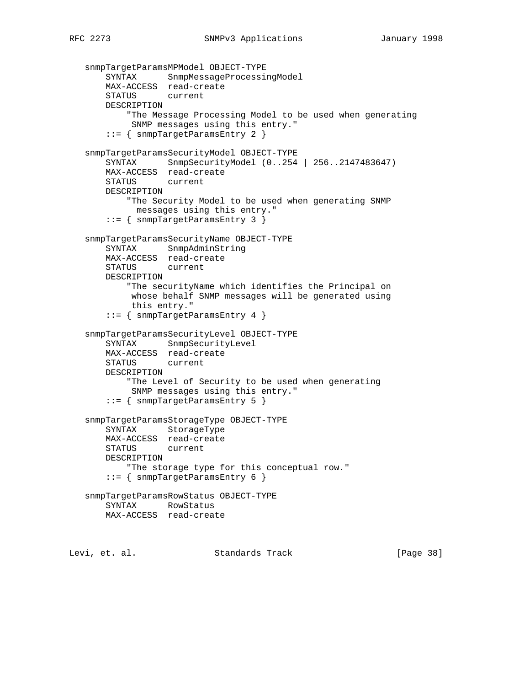```
 snmpTargetParamsMPModel OBJECT-TYPE
    SYNTAX SnmpMessageProcessingModel
    MAX-ACCESS read-create
    STATUS current
    DESCRIPTION
         "The Message Processing Model to be used when generating
         SNMP messages using this entry."
     ::= { snmpTargetParamsEntry 2 }
 snmpTargetParamsSecurityModel OBJECT-TYPE
    SYNTAX SnmpSecurityModel (0..254 | 256..2147483647)
    MAX-ACCESS read-create
    STATUS current
    DESCRIPTION
         "The Security Model to be used when generating SNMP
          messages using this entry."
     ::= { snmpTargetParamsEntry 3 }
 snmpTargetParamsSecurityName OBJECT-TYPE
    SYNTAX SnmpAdminString
    MAX-ACCESS read-create
    STATUS current
    DESCRIPTION
         "The securityName which identifies the Principal on
         whose behalf SNMP messages will be generated using
         this entry."
     ::= { snmpTargetParamsEntry 4 }
 snmpTargetParamsSecurityLevel OBJECT-TYPE
    SYNTAX SnmpSecurityLevel
    MAX-ACCESS read-create
    STATUS current
    DESCRIPTION
         "The Level of Security to be used when generating
         SNMP messages using this entry."
     ::= { snmpTargetParamsEntry 5 }
 snmpTargetParamsStorageType OBJECT-TYPE
    SYNTAX StorageType
    MAX-ACCESS read-create
   STATUS
    DESCRIPTION
        "The storage type for this conceptual row."
     ::= { snmpTargetParamsEntry 6 }
 snmpTargetParamsRowStatus OBJECT-TYPE
    SYNTAX RowStatus
    MAX-ACCESS read-create
```
Levi, et. al. Standards Track [Page 38]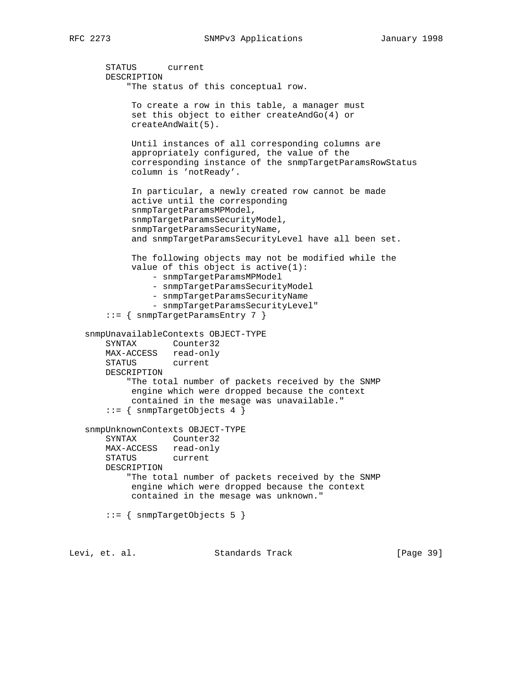```
 STATUS current
        DESCRIPTION
            "The status of this conceptual row.
             To create a row in this table, a manager must
             set this object to either createAndGo(4) or
             createAndWait(5).
             Until instances of all corresponding columns are
             appropriately configured, the value of the
             corresponding instance of the snmpTargetParamsRowStatus
             column is 'notReady'.
             In particular, a newly created row cannot be made
             active until the corresponding
             snmpTargetParamsMPModel,
             snmpTargetParamsSecurityModel,
             snmpTargetParamsSecurityName,
             and snmpTargetParamsSecurityLevel have all been set.
             The following objects may not be modified while the
             value of this object is active(1):
                 - snmpTargetParamsMPModel
                 - snmpTargetParamsSecurityModel
                 - snmpTargetParamsSecurityName
                 - snmpTargetParamsSecurityLevel"
        ::= { snmpTargetParamsEntry 7 }
    snmpUnavailableContexts OBJECT-TYPE
        SYNTAX Counter32
       MAX-ACCESS read-only
       STATUS current
       DESCRIPTION
            "The total number of packets received by the SNMP
             engine which were dropped because the context
             contained in the mesage was unavailable."
        ::= { snmpTargetObjects 4 }
    snmpUnknownContexts OBJECT-TYPE
        SYNTAX Counter32
      MAX-ACCESS read-only<br>STATUS current
      STATUS
       DESCRIPTION
            "The total number of packets received by the SNMP
             engine which were dropped because the context
             contained in the mesage was unknown."
        ::= { snmpTargetObjects 5 }
Levi, et. al. Standards Track [Page 39]
```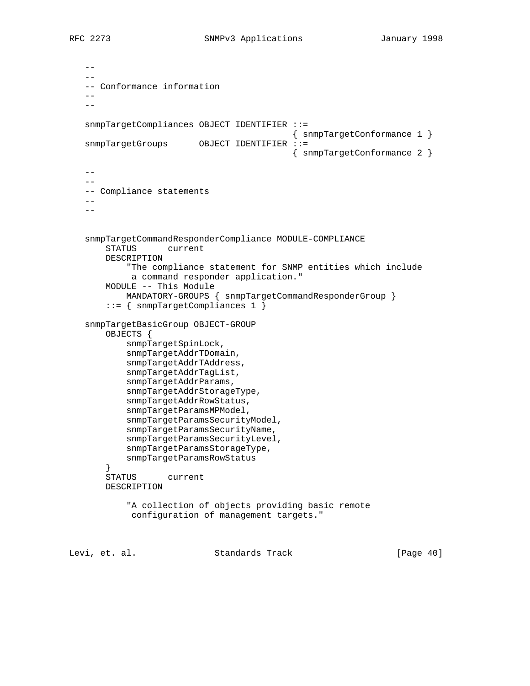$-$  -- -- Conformance information --  $-$  snmpTargetCompliances OBJECT IDENTIFIER ::= { snmpTargetConformance 1 } snmpTargetGroups OBJECT IDENTIFIER ::= { snmpTargetConformance 2 }  $-1$  $-$  -- Compliance statements  $$  snmpTargetCommandResponderCompliance MODULE-COMPLIANCE STATUS current DESCRIPTION "The compliance statement for SNMP entities which include a command responder application." MODULE -- This Module MANDATORY-GROUPS { snmpTargetCommandResponderGroup } ::= { snmpTargetCompliances 1 } snmpTargetBasicGroup OBJECT-GROUP OBJECTS { snmpTargetSpinLock, snmpTargetAddrTDomain, snmpTargetAddrTAddress, snmpTargetAddrTagList, snmpTargetAddrParams, snmpTargetAddrStorageType, snmpTargetAddrRowStatus, snmpTargetParamsMPModel, snmpTargetParamsSecurityModel, snmpTargetParamsSecurityName, snmpTargetParamsSecurityLevel, snmpTargetParamsStorageType, snmpTargetParamsRowStatus } STATUS current DESCRIPTION "A collection of objects providing basic remote configuration of management targets." Levi, et. al. Standards Track [Page 40]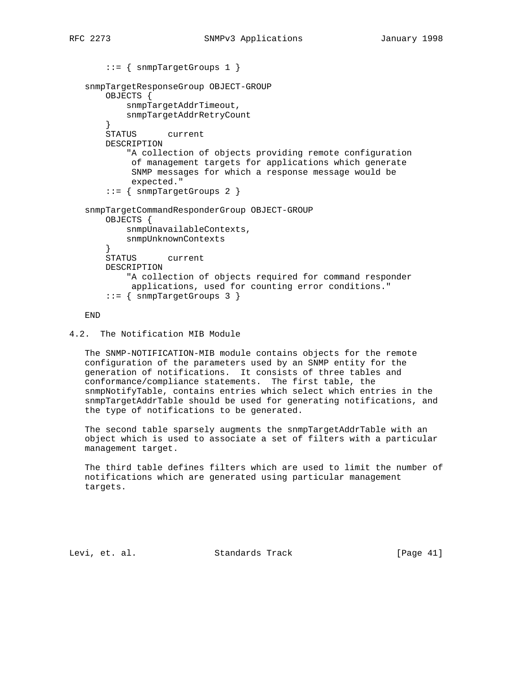```
 ::= { snmpTargetGroups 1 }
   snmpTargetResponseGroup OBJECT-GROUP
       OBJECTS {
            snmpTargetAddrTimeout,
            snmpTargetAddrRetryCount
        }
       STATUS current
       DESCRIPTION
            "A collection of objects providing remote configuration
            of management targets for applications which generate
             SNMP messages for which a response message would be
            expected."
        ::= { snmpTargetGroups 2 }
   snmpTargetCommandResponderGroup OBJECT-GROUP
       OBJECTS {
           snmpUnavailableContexts,
            snmpUnknownContexts
 }
       STATUS current
       DESCRIPTION
            "A collection of objects required for command responder
            applications, used for counting error conditions."
        ::= { snmpTargetGroups 3 }
```
END

```
4.2. The Notification MIB Module
```
 The SNMP-NOTIFICATION-MIB module contains objects for the remote configuration of the parameters used by an SNMP entity for the generation of notifications. It consists of three tables and conformance/compliance statements. The first table, the snmpNotifyTable, contains entries which select which entries in the snmpTargetAddrTable should be used for generating notifications, and the type of notifications to be generated.

 The second table sparsely augments the snmpTargetAddrTable with an object which is used to associate a set of filters with a particular management target.

 The third table defines filters which are used to limit the number of notifications which are generated using particular management targets.

Levi, et. al. Standards Track [Page 41]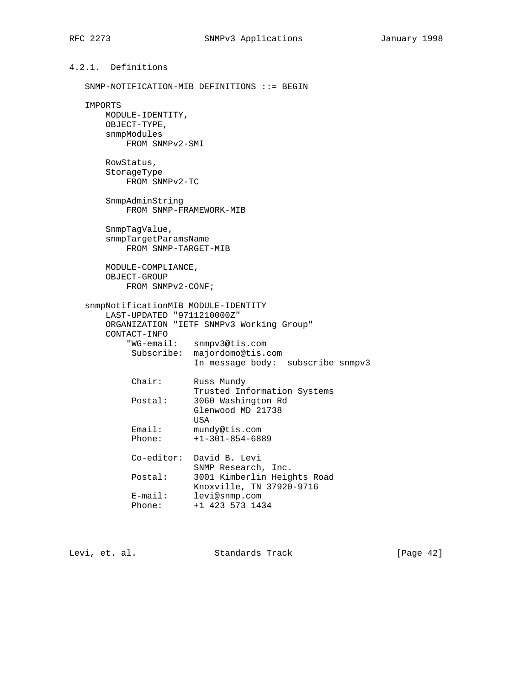```
4.2.1. Definitions
   SNMP-NOTIFICATION-MIB DEFINITIONS ::= BEGIN
   IMPORTS
       MODULE-IDENTITY,
       OBJECT-TYPE,
       snmpModules
          FROM SNMPv2-SMI
       RowStatus,
       StorageType
          FROM SNMPv2-TC
       SnmpAdminString
          FROM SNMP-FRAMEWORK-MIB
       SnmpTagValue,
       snmpTargetParamsName
          FROM SNMP-TARGET-MIB
       MODULE-COMPLIANCE,
       OBJECT-GROUP
          FROM SNMPv2-CONF;
   snmpNotificationMIB MODULE-IDENTITY
       LAST-UPDATED "9711210000Z"
       ORGANIZATION "IETF SNMPv3 Working Group"
       CONTACT-INFO
           "WG-email: snmpv3@tis.com
           Subscribe: majordomo@tis.com
                      In message body: subscribe snmpv3
           Chair: Russ Mundy
          Trusted Information Systems<br>Postal: 3060 Washington Rd
                    3060 Washington Rd
                      Glenwood MD 21738
USA
 Email: mundy@tis.com
 Phone: +1-301-854-6889
           Co-editor: David B. Levi
                     SNMP Research, Inc.
 Postal: 3001 Kimberlin Heights Road
 Knoxville, TN 37920-9716
 E-mail: levi@snmp.com
 Phone: +1 423 573 1434
```
Levi, et. al. Standards Track [Page 42]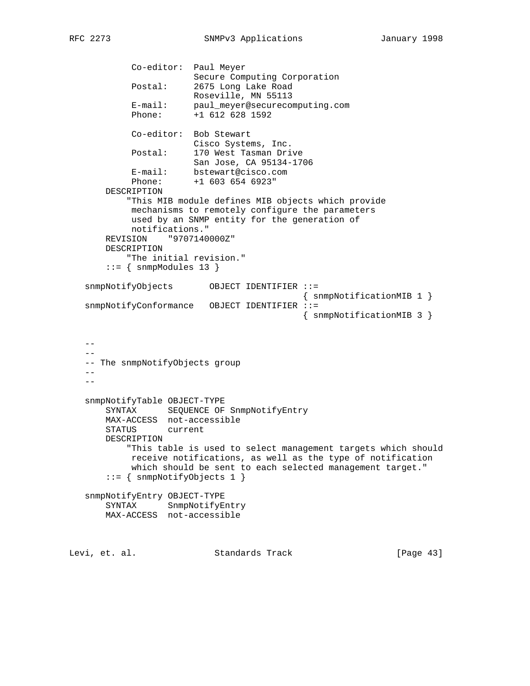```
 Co-editor: Paul Meyer
                       Secure Computing Corporation
            Postal: 2675 Long Lake Road
                       Roseville, MN 55113
 E-mail: paul_meyer@securecomputing.com
 Phone: +1 612 628 1592
            Co-editor: Bob Stewart
                      Cisco Systems, Inc.
            Postal: 170 West Tasman Drive
                      San Jose, CA 95134-1706
            E-mail: bstewart@cisco.com
            Phone: +1 603 654 6923"
       DESCRIPTION
           "This MIB module defines MIB objects which provide
            mechanisms to remotely configure the parameters
            used by an SNMP entity for the generation of
            notifications."
       REVISION "9707140000Z"
       DESCRIPTION
           "The initial revision."
      ::= { snmpModules 13 }
   snmpNotifyObjects OBJECT IDENTIFIER ::=
                                            { snmpNotificationMIB 1 }
   snmpNotifyConformance OBJECT IDENTIFIER ::=
                                           { snmpNotificationMIB 3 }
  - -- -- The snmpNotifyObjects group
  - - --
   snmpNotifyTable OBJECT-TYPE
       SYNTAX SEQUENCE OF SnmpNotifyEntry
       MAX-ACCESS not-accessible
       STATUS current
       DESCRIPTION
           "This table is used to select management targets which should
            receive notifications, as well as the type of notification
            which should be sent to each selected management target."
       ::= { snmpNotifyObjects 1 }
   snmpNotifyEntry OBJECT-TYPE
       SYNTAX SnmpNotifyEntry
       MAX-ACCESS not-accessible
Levi, et. al. Standards Track [Page 43]
```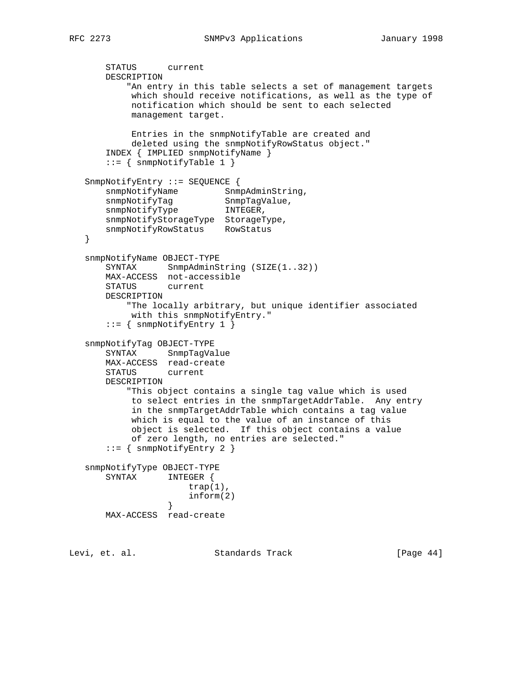```
 STATUS current
       DESCRIPTION
            "An entry in this table selects a set of management targets
            which should receive notifications, as well as the type of
            notification which should be sent to each selected
            management target.
            Entries in the snmpNotifyTable are created and
            deleted using the snmpNotifyRowStatus object."
       INDEX { IMPLIED snmpNotifyName }
      ::= { snmpNotifyTable 1 }
    SnmpNotifyEntry ::= SEQUENCE {
snmpNotifyName SnmpAdminString,
snmpNotifyTag SnmpTagValue,
snmpNotifyType INTEGER,
       snmpNotifyStorageType StorageType,
       snmpNotifyRowStatus RowStatus
    }
    snmpNotifyName OBJECT-TYPE
      SYNTAX SnmpAdminString (SIZE(1..32))
       MAX-ACCESS not-accessible
       STATUS current
       DESCRIPTION
           "The locally arbitrary, but unique identifier associated
            with this snmpNotifyEntry."
       ::= { snmpNotifyEntry 1 }
    snmpNotifyTag OBJECT-TYPE
       SYNTAX SnmpTagValue
       MAX-ACCESS read-create
       STATUS current
       DESCRIPTION
           "This object contains a single tag value which is used
            to select entries in the snmpTargetAddrTable. Any entry
            in the snmpTargetAddrTable which contains a tag value
            which is equal to the value of an instance of this
            object is selected. If this object contains a value
            of zero length, no entries are selected."
       ::= { snmpNotifyEntry 2 }
    snmpNotifyType OBJECT-TYPE
       SYNTAX INTEGER {
                      trap(1),
                  \inf \text{orm}(2) }
       MAX-ACCESS read-create
Levi, et. al.                 Standards Track                 [Page 44]
```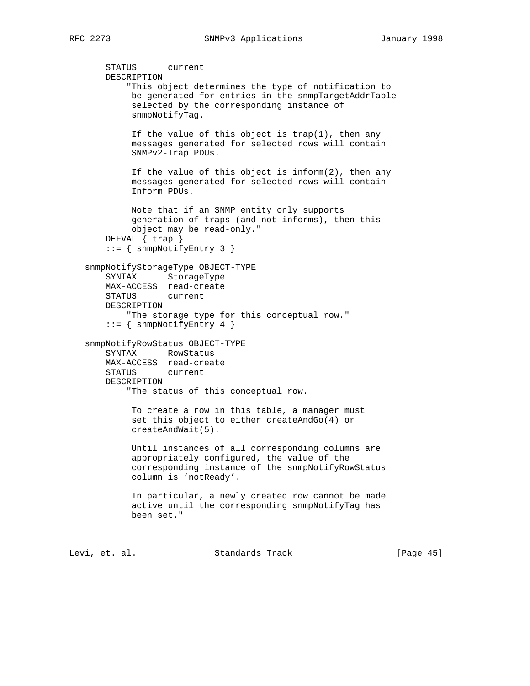```
 STATUS current
    DESCRIPTION
         "This object determines the type of notification to
         be generated for entries in the snmpTargetAddrTable
         selected by the corresponding instance of
         snmpNotifyTag.
         If the value of this object is trap(1), then any
          messages generated for selected rows will contain
          SNMPv2-Trap PDUs.
          If the value of this object is inform(2), then any
         messages generated for selected rows will contain
          Inform PDUs.
         Note that if an SNMP entity only supports
          generation of traps (and not informs), then this
         object may be read-only."
    DEFVAL { trap }
     ::= { snmpNotifyEntry 3 }
 snmpNotifyStorageType OBJECT-TYPE
    SYNTAX StorageType
    MAX-ACCESS read-create
    STATUS current
    DESCRIPTION
         "The storage type for this conceptual row."
    ::= { snmpNotifyEntry 4 }
 snmpNotifyRowStatus OBJECT-TYPE
    SYNTAX RowStatus
    MAX-ACCESS read-create
    STATUS current
    DESCRIPTION
         "The status of this conceptual row.
         To create a row in this table, a manager must
          set this object to either createAndGo(4) or
          createAndWait(5).
         Until instances of all corresponding columns are
          appropriately configured, the value of the
         corresponding instance of the snmpNotifyRowStatus
         column is 'notReady'.
          In particular, a newly created row cannot be made
         active until the corresponding snmpNotifyTag has
         been set."
```
Levi, et. al. Standards Track [Page 45]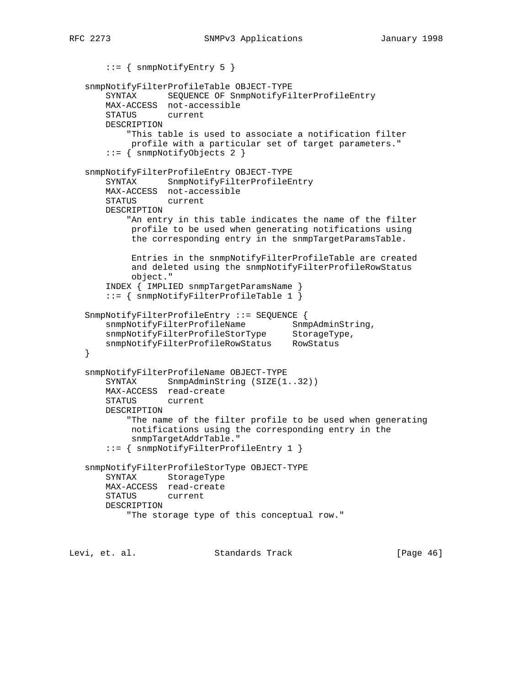```
RFC 2273 SNMPv3 Applications January 1998
```

```
 ::= { snmpNotifyEntry 5 }
    snmpNotifyFilterProfileTable OBJECT-TYPE
       SYNTAX SEQUENCE OF SnmpNotifyFilterProfileEntry
       MAX-ACCESS not-accessible
       STATUS current
       DESCRIPTION
           "This table is used to associate a notification filter
            profile with a particular set of target parameters."
        ::= { snmpNotifyObjects 2 }
    snmpNotifyFilterProfileEntry OBJECT-TYPE
       SYNTAX SnmpNotifyFilterProfileEntry
       MAX-ACCESS not-accessible
       STATUS current
       DESCRIPTION
            "An entry in this table indicates the name of the filter
            profile to be used when generating notifications using
            the corresponding entry in the snmpTargetParamsTable.
            Entries in the snmpNotifyFilterProfileTable are created
            and deleted using the snmpNotifyFilterProfileRowStatus
            object."
        INDEX { IMPLIED snmpTargetParamsName }
        ::= { snmpNotifyFilterProfileTable 1 }
    SnmpNotifyFilterProfileEntry ::= SEQUENCE {
snmpNotifyFilterProfileName SnmpAdminString,
snmpNotifyFilterProfileStorType StorageType,
 snmpNotifyFilterProfileRowStatus RowStatus
    }
    snmpNotifyFilterProfileName OBJECT-TYPE
      SYNTAX SnmpAdminString (SIZE(1..32))
       MAX-ACCESS read-create
       STATUS current
       DESCRIPTION
           "The name of the filter profile to be used when generating
            notifications using the corresponding entry in the
            snmpTargetAddrTable."
        ::= { snmpNotifyFilterProfileEntry 1 }
    snmpNotifyFilterProfileStorType OBJECT-TYPE
       SYNTAX StorageType
       MAX-ACCESS read-create
       STATUS current
       DESCRIPTION
            "The storage type of this conceptual row."
Levi, et. al.                 Standards Track                 [Page 46]
```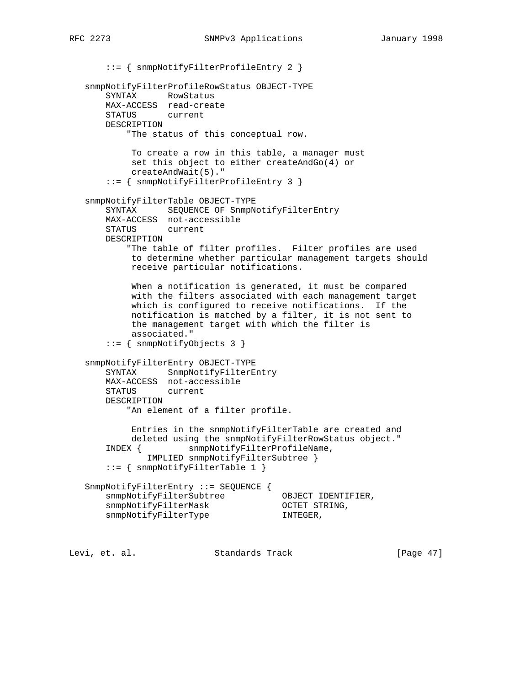::= { snmpNotifyFilterProfileEntry 2 } snmpNotifyFilterProfileRowStatus OBJECT-TYPE SYNTAX RowStatus MAX-ACCESS read-create STATUS current DESCRIPTION "The status of this conceptual row. To create a row in this table, a manager must set this object to either createAndGo(4) or createAndWait(5)." ::= { snmpNotifyFilterProfileEntry 3 } snmpNotifyFilterTable OBJECT-TYPE SYNTAX SEQUENCE OF SnmpNotifyFilterEntry MAX-ACCESS not-accessible STATUS current DESCRIPTION "The table of filter profiles. Filter profiles are used to determine whether particular management targets should receive particular notifications. When a notification is generated, it must be compared with the filters associated with each management target which is configured to receive notifications. If the notification is matched by a filter, it is not sent to the management target with which the filter is associated." ::= { snmpNotifyObjects 3 } snmpNotifyFilterEntry OBJECT-TYPE SYNTAX SnmpNotifyFilterEntry MAX-ACCESS not-accessible STATUS current DESCRIPTION "An element of a filter profile. Entries in the snmpNotifyFilterTable are created and deleted using the snmpNotifyFilterRowStatus object." INDEX { snmpNotifyFilterProfileName, IMPLIED snmpNotifyFilterSubtree } ::= { snmpNotifyFilterTable 1 } SnmpNotifyFilterEntry ::= SEQUENCE { snmpNotifyFilterSubtree OBJECT IDENTIFIER,<br>snmpNotifyFilterMask OCTET STRING, snmpNotifyFilterMask OCTET STRING, snmpNotifyFilterType TNTEGER,

Levi, et. al. Standards Track [Page 47]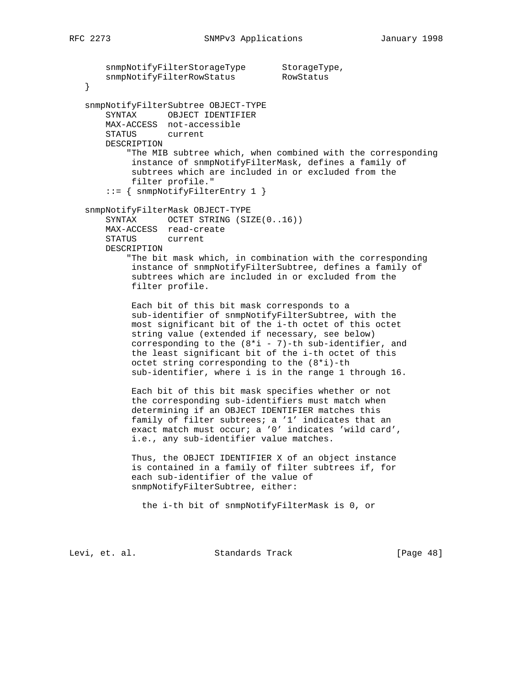```
snmpNotifyFilterStorageType StorageType,
       snmpNotifyFilterRowStatus RowStatus
   }
   snmpNotifyFilterSubtree OBJECT-TYPE
       SYNTAX OBJECT IDENTIFIER
       MAX-ACCESS not-accessible
       STATUS current
       DESCRIPTION
           "The MIB subtree which, when combined with the corresponding
            instance of snmpNotifyFilterMask, defines a family of
            subtrees which are included in or excluded from the
            filter profile."
       ::= { snmpNotifyFilterEntry 1 }
   snmpNotifyFilterMask OBJECT-TYPE
      SYNTAX OCTET STRING (SIZE(0..16))
       MAX-ACCESS read-create
       STATUS current
       DESCRIPTION
           "The bit mask which, in combination with the corresponding
            instance of snmpNotifyFilterSubtree, defines a family of
            subtrees which are included in or excluded from the
            filter profile.
            Each bit of this bit mask corresponds to a
            sub-identifier of snmpNotifyFilterSubtree, with the
            most significant bit of the i-th octet of this octet
            string value (extended if necessary, see below)
           corresponding to the (8 * i - 7)-th sub-identifier, and
            the least significant bit of the i-th octet of this
            octet string corresponding to the (8*i)-th
            sub-identifier, where i is in the range 1 through 16.
            Each bit of this bit mask specifies whether or not
            the corresponding sub-identifiers must match when
            determining if an OBJECT IDENTIFIER matches this
 family of filter subtrees; a '1' indicates that an
 exact match must occur; a '0' indicates 'wild card',
            i.e., any sub-identifier value matches.
            Thus, the OBJECT IDENTIFIER X of an object instance
            is contained in a family of filter subtrees if, for
            each sub-identifier of the value of
            snmpNotifyFilterSubtree, either:
              the i-th bit of snmpNotifyFilterMask is 0, or
```
Levi, et. al. Standards Track [Page 48]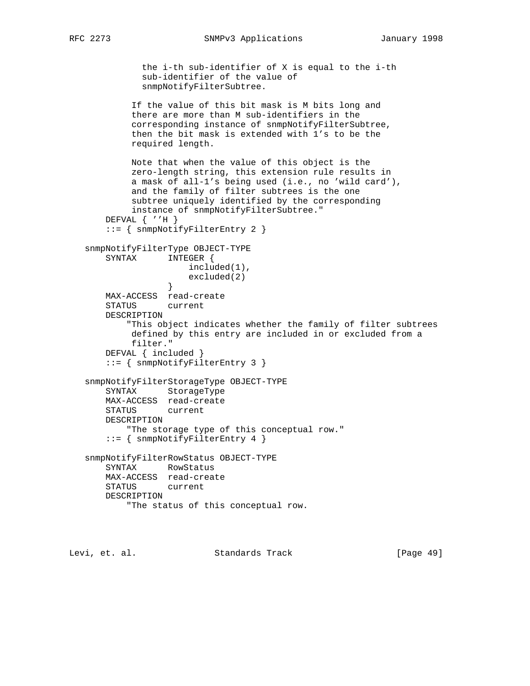```
 the i-th sub-identifier of X is equal to the i-th
              sub-identifier of the value of
              snmpNotifyFilterSubtree.
            If the value of this bit mask is M bits long and
            there are more than M sub-identifiers in the
            corresponding instance of snmpNotifyFilterSubtree,
            then the bit mask is extended with 1's to be the
            required length.
            Note that when the value of this object is the
            zero-length string, this extension rule results in
            a mask of all-1's being used (i.e., no 'wild card'),
            and the family of filter subtrees is the one
            subtree uniquely identified by the corresponding
            instance of snmpNotifyFilterSubtree."
       DEFVAL { ''H }
       ::= { snmpNotifyFilterEntry 2 }
   snmpNotifyFilterType OBJECT-TYPE
       SYNTAX INTEGER {
                      included(1),
                  excluded(2)<br>}
 }
       MAX-ACCESS read-create
       STATUS current
       DESCRIPTION
           "This object indicates whether the family of filter subtrees
            defined by this entry are included in or excluded from a
            filter."
       DEFVAL { included }
       ::= { snmpNotifyFilterEntry 3 }
   snmpNotifyFilterStorageType OBJECT-TYPE
       SYNTAX StorageType
       MAX-ACCESS read-create
       STATUS current
       DESCRIPTION
           "The storage type of this conceptual row."
       ::= { snmpNotifyFilterEntry 4 }
   snmpNotifyFilterRowStatus OBJECT-TYPE
       SYNTAX RowStatus
       MAX-ACCESS read-create
       STATUS current
       DESCRIPTION
           "The status of this conceptual row.
```
Levi, et. al. Standards Track [Page 49]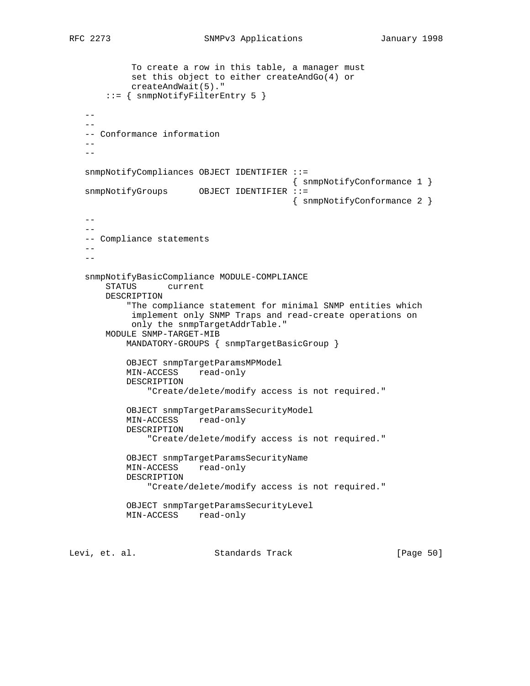```
 To create a row in this table, a manager must
            set this object to either createAndGo(4) or
            createAndWait(5)."
        ::= { snmpNotifyFilterEntry 5 }
   -- -- Conformance information
   - -- snmpNotifyCompliances OBJECT IDENTIFIER ::=
                                           { snmpNotifyConformance 1 }
  snmpNotifyGroups OBJECT IDENTIFIER ::=
                                           { snmpNotifyConformance 2 }
   - -- - -- Compliance statements
   - -- - snmpNotifyBasicCompliance MODULE-COMPLIANCE
       STATUS current
       DESCRIPTION
            "The compliance statement for minimal SNMP entities which
            implement only SNMP Traps and read-create operations on
            only the snmpTargetAddrTable."
       MODULE SNMP-TARGET-MIB
           MANDATORY-GROUPS { snmpTargetBasicGroup }
           OBJECT snmpTargetParamsMPModel
           MIN-ACCESS read-only
           DESCRIPTION
               "Create/delete/modify access is not required."
           OBJECT snmpTargetParamsSecurityModel
           MIN-ACCESS read-only
           DESCRIPTION
                "Create/delete/modify access is not required."
           OBJECT snmpTargetParamsSecurityName
           MIN-ACCESS read-only
           DESCRIPTION
               "Create/delete/modify access is not required."
           OBJECT snmpTargetParamsSecurityLevel
           MIN-ACCESS read-only
Levi, et. al. Standards Track [Page 50]
```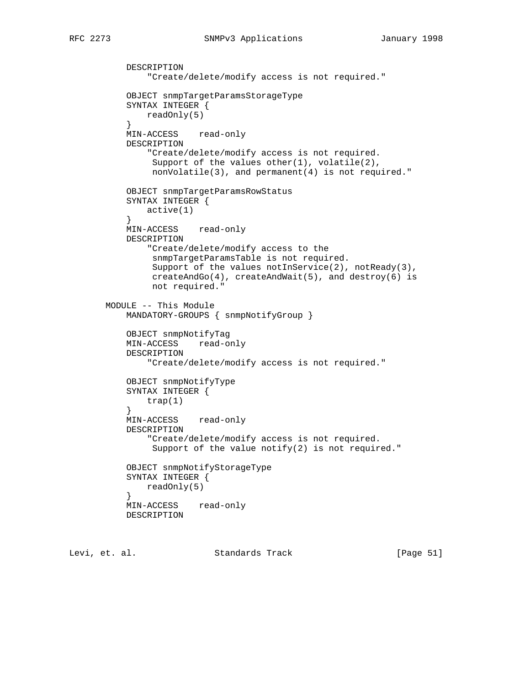DESCRIPTION

```
 "Create/delete/modify access is not required."
           OBJECT snmpTargetParamsStorageType
           SYNTAX INTEGER {
          readOnly(5)<br>}
 }
           MIN-ACCESS read-only
           DESCRIPTION
               "Create/delete/modify access is not required.
               Support of the values other(1), volatile(2),
                nonVolatile(3), and permanent(4) is not required."
           OBJECT snmpTargetParamsRowStatus
           SYNTAX INTEGER {
               active(1)
 }
           MIN-ACCESS read-only
           DESCRIPTION
               "Create/delete/modify access to the
                snmpTargetParamsTable is not required.
               Support of the values notInService(2), notReady(3),
                createAndGo(4), createAndWait(5), and destroy(6) is
                not required."
       MODULE -- This Module
           MANDATORY-GROUPS { snmpNotifyGroup }
           OBJECT snmpNotifyTag
           MIN-ACCESS read-only
           DESCRIPTION
               "Create/delete/modify access is not required."
           OBJECT snmpNotifyType
           SYNTAX INTEGER {
          \text{trap}(1) }
           MIN-ACCESS read-only
           DESCRIPTION
               "Create/delete/modify access is not required.
               Support of the value notify(2) is not required."
           OBJECT snmpNotifyStorageType
           SYNTAX INTEGER {
               readOnly(5)
 }
           MIN-ACCESS read-only
           DESCRIPTION
```
Levi, et. al. Standards Track [Page 51]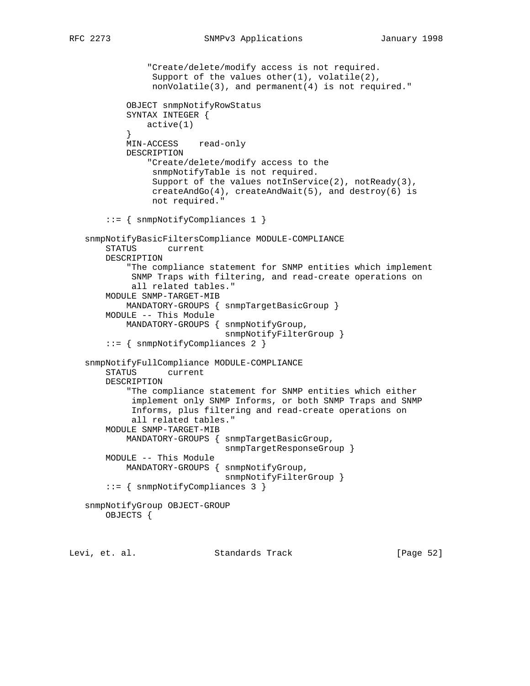```
 "Create/delete/modify access is not required.
                Support of the values other(1), volatile(2),
                 nonVolatile(3), and permanent(4) is not required."
            OBJECT snmpNotifyRowStatus
            SYNTAX INTEGER {
           active(1)<br>}
 }
            MIN-ACCESS read-only
            DESCRIPTION
                "Create/delete/modify access to the
                 snmpNotifyTable is not required.
                Support of the values notInService(2), notReady(3),
                 createAndGo(4), createAndWait(5), and destroy(6) is
                 not required."
        ::= { snmpNotifyCompliances 1 }
   snmpNotifyBasicFiltersCompliance MODULE-COMPLIANCE
       STATUS current
       DESCRIPTION
            "The compliance statement for SNMP entities which implement
            SNMP Traps with filtering, and read-create operations on
            all related tables."
       MODULE SNMP-TARGET-MIB
            MANDATORY-GROUPS { snmpTargetBasicGroup }
        MODULE -- This Module
            MANDATORY-GROUPS { snmpNotifyGroup,
                               snmpNotifyFilterGroup }
        ::= { snmpNotifyCompliances 2 }
   snmpNotifyFullCompliance MODULE-COMPLIANCE
       STATUS current
       DESCRIPTION
            "The compliance statement for SNMP entities which either
            implement only SNMP Informs, or both SNMP Traps and SNMP
             Informs, plus filtering and read-create operations on
            all related tables."
       MODULE SNMP-TARGET-MIB
            MANDATORY-GROUPS { snmpTargetBasicGroup,
                               snmpTargetResponseGroup }
       MODULE -- This Module
           MANDATORY-GROUPS { snmpNotifyGroup,
                               snmpNotifyFilterGroup }
        ::= { snmpNotifyCompliances 3 }
   snmpNotifyGroup OBJECT-GROUP
       OBJECTS {
```
Levi, et. al. Standards Track [Page 52]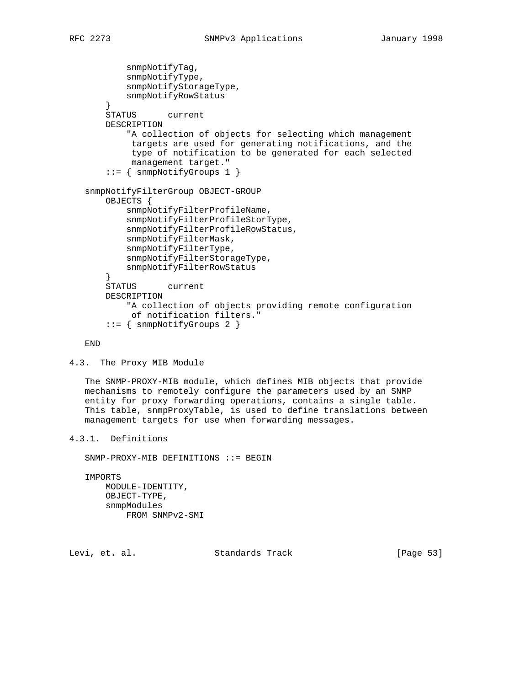```
 snmpNotifyTag,
           snmpNotifyType,
           snmpNotifyStorageType,
            snmpNotifyRowStatus
 }
       STATUS current
       DESCRIPTION
            "A collection of objects for selecting which management
            targets are used for generating notifications, and the
            type of notification to be generated for each selected
            management target."
        ::= { snmpNotifyGroups 1 }
   snmpNotifyFilterGroup OBJECT-GROUP
       OBJECTS {
           snmpNotifyFilterProfileName,
            snmpNotifyFilterProfileStorType,
           snmpNotifyFilterProfileRowStatus,
           snmpNotifyFilterMask,
           snmpNotifyFilterType,
           snmpNotifyFilterStorageType,
           snmpNotifyFilterRowStatus
 }
       STATUS current
       DESCRIPTION
            "A collection of objects providing remote configuration
            of notification filters."
        ::= { snmpNotifyGroups 2 }
```
END

```
4.3. The Proxy MIB Module
```
 The SNMP-PROXY-MIB module, which defines MIB objects that provide mechanisms to remotely configure the parameters used by an SNMP entity for proxy forwarding operations, contains a single table. This table, snmpProxyTable, is used to define translations between management targets for use when forwarding messages.

```
4.3.1. Definitions
```
SNMP-PROXY-MIB DEFINITIONS ::= BEGIN

 IMPORTS MODULE-IDENTITY, OBJECT-TYPE, snmpModules FROM SNMPv2-SMI

Levi, et. al. Standards Track [Page 53]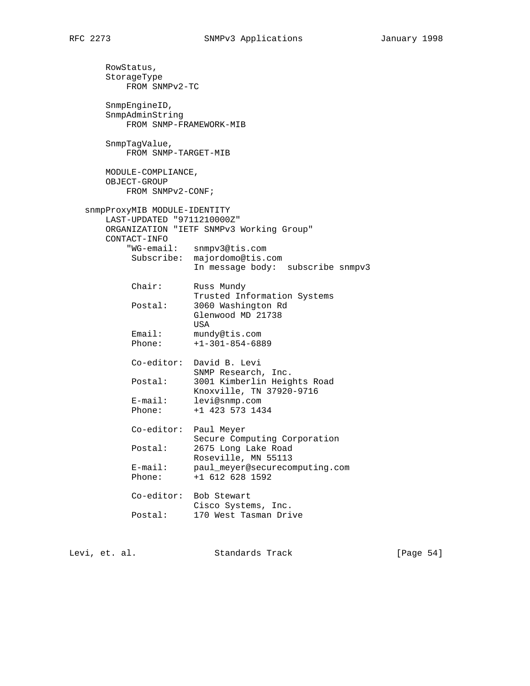RowStatus, StorageType FROM SNMPv2-TC SnmpEngineID, SnmpAdminString FROM SNMP-FRAMEWORK-MIB SnmpTagValue, FROM SNMP-TARGET-MIB MODULE-COMPLIANCE, OBJECT-GROUP FROM SNMPv2-CONF; snmpProxyMIB MODULE-IDENTITY LAST-UPDATED "9711210000Z" ORGANIZATION "IETF SNMPv3 Working Group" CONTACT-INFO "WG-email: snmpv3@tis.com Subscribe: majordomo@tis.com In message body: subscribe snmpv3 Chair: Russ Mundy Trusted Information Systems Postal: 3060 Washington Rd Glenwood MD 21738 **USA** Email: mundy@tis.com Phone: +1-301-854-6889 Co-editor: David B. Levi SNMP Research, Inc. Postal: 3001 Kimberlin Heights Road Knoxville, TN 37920-9716 E-mail: levi@snmp.com Phone: +1 423 573 1434 Co-editor: Paul Meyer Secure Computing Corporation Postal: 2675 Long Lake Road Roseville, MN 55113 E-mail: paul\_meyer@securecomputing.com Phone: +1 612 628 1592 Co-editor: Bob Stewart Cisco Systems, Inc. Postal: 170 West Tasman Drive

Levi, et. al. Standards Track [Page 54]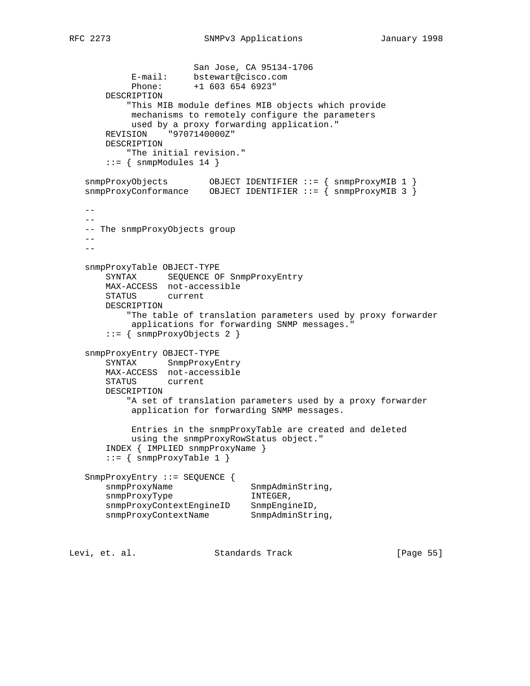```
 San Jose, CA 95134-1706
 E-mail: bstewart@cisco.com
 Phone: +1 603 654 6923"
       DESCRIPTION
           "This MIB module defines MIB objects which provide
            mechanisms to remotely configure the parameters
           used by a proxy forwarding application."
       REVISION "9707140000Z"
       DESCRIPTION
           "The initial revision."
      ::= { snmpModules 14 }
 snmpProxyObjects OBJECT IDENTIFIER ::= { snmpProxyMIB 1 }
 snmpProxyConformance OBJECT IDENTIFIER ::= { snmpProxyMIB 3 }
    --
  - - -- The snmpProxyObjects group
  --\,- snmpProxyTable OBJECT-TYPE
       SYNTAX SEQUENCE OF SnmpProxyEntry
       MAX-ACCESS not-accessible
       STATUS current
       DESCRIPTION
           "The table of translation parameters used by proxy forwarder
           applications for forwarding SNMP messages."
       ::= { snmpProxyObjects 2 }
   snmpProxyEntry OBJECT-TYPE
       SYNTAX SnmpProxyEntry
       MAX-ACCESS not-accessible
       STATUS current
       DESCRIPTION
           "A set of translation parameters used by a proxy forwarder
            application for forwarding SNMP messages.
            Entries in the snmpProxyTable are created and deleted
           using the snmpProxyRowStatus object."
       INDEX { IMPLIED snmpProxyName }
      ::= { snmpProxyTable 1 }
   SnmpProxyEntry ::= SEQUENCE {
      snmpProxyName SnmpAdminString,
      snmpProxyType INTEGER,
 snmpProxyContextEngineID SnmpEngineID,
snmpProxyContextName SnmpAdminString,
Levi, et. al. Standards Track [Page 55]
```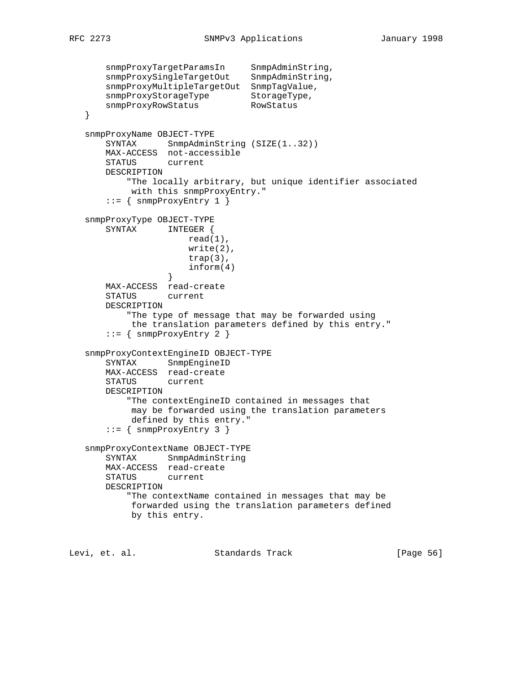```
snmpProxyTargetParamsIn SnmpAdminString,
 snmpProxySingleTargetOut SnmpAdminString,
       snmpProxyMultipleTargetOut SnmpTagValue,
snmpProxyStorageType StorageType,
snmpProxyRowStatus RowStatus
   }
   snmpProxyName OBJECT-TYPE
      SYNTAX SnmpAdminString (SIZE(1..32))
       MAX-ACCESS not-accessible
       STATUS current
       DESCRIPTION
           "The locally arbitrary, but unique identifier associated
            with this snmpProxyEntry."
       ::= { snmpProxyEntry 1 }
   snmpProxyType OBJECT-TYPE
       SYNTAX INTEGER {
                     read(1),
                      write(2),
                      trap(3),
                 \inf \text{orm}(4) }
       MAX-ACCESS read-create
       STATUS current
       DESCRIPTION
           "The type of message that may be forwarded using
           the translation parameters defined by this entry."
      ::= { snmpProxyEntry 2 }
   snmpProxyContextEngineID OBJECT-TYPE
       SYNTAX SnmpEngineID
       MAX-ACCESS read-create
       STATUS current
       DESCRIPTION
           "The contextEngineID contained in messages that
           may be forwarded using the translation parameters
            defined by this entry."
      ::= { snmpProxyEntry 3 }
   snmpProxyContextName OBJECT-TYPE
       SYNTAX SnmpAdminString
       MAX-ACCESS read-create
       STATUS current
       DESCRIPTION
           "The contextName contained in messages that may be
           forwarded using the translation parameters defined
           by this entry.
```
Levi, et. al. Standards Track [Page 56]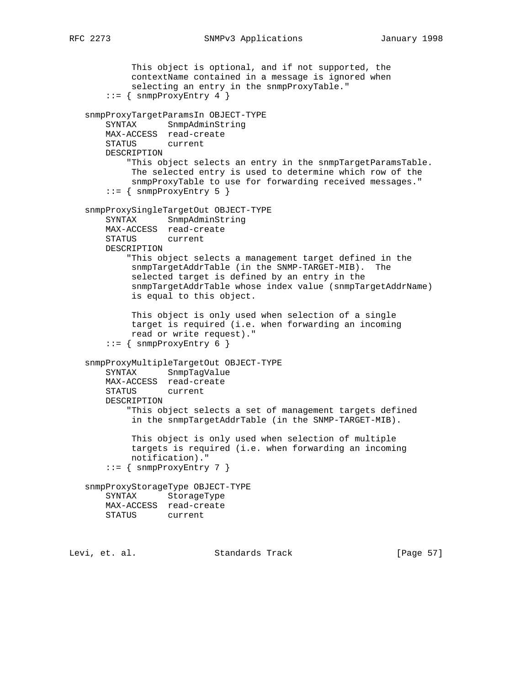```
 This object is optional, and if not supported, the
         contextName contained in a message is ignored when
         selecting an entry in the snmpProxyTable."
    ::= { snmpProxyEntry 4 }
 snmpProxyTargetParamsIn OBJECT-TYPE
    SYNTAX SnmpAdminString
    MAX-ACCESS read-create
    STATUS current
    DESCRIPTION
         "This object selects an entry in the snmpTargetParamsTable.
         The selected entry is used to determine which row of the
         snmpProxyTable to use for forwarding received messages."
    ::= { snmpProxyEntry 5 }
 snmpProxySingleTargetOut OBJECT-TYPE
    SYNTAX SnmpAdminString
    MAX-ACCESS read-create
    STATUS current
    DESCRIPTION
         "This object selects a management target defined in the
         snmpTargetAddrTable (in the SNMP-TARGET-MIB). The
         selected target is defined by an entry in the
         snmpTargetAddrTable whose index value (snmpTargetAddrName)
         is equal to this object.
         This object is only used when selection of a single
         target is required (i.e. when forwarding an incoming
         read or write request)."
    ::= { snmpProxyEntry 6 }
 snmpProxyMultipleTargetOut OBJECT-TYPE
    SYNTAX SnmpTagValue
    MAX-ACCESS read-create
    STATUS current
    DESCRIPTION
         "This object selects a set of management targets defined
         in the snmpTargetAddrTable (in the SNMP-TARGET-MIB).
         This object is only used when selection of multiple
         targets is required (i.e. when forwarding an incoming
         notification)."
    ::= { snmpProxyEntry 7 }
 snmpProxyStorageType OBJECT-TYPE
    SYNTAX StorageType
    MAX-ACCESS read-create
    STATUS current
```
Levi, et. al. Standards Track [Page 57]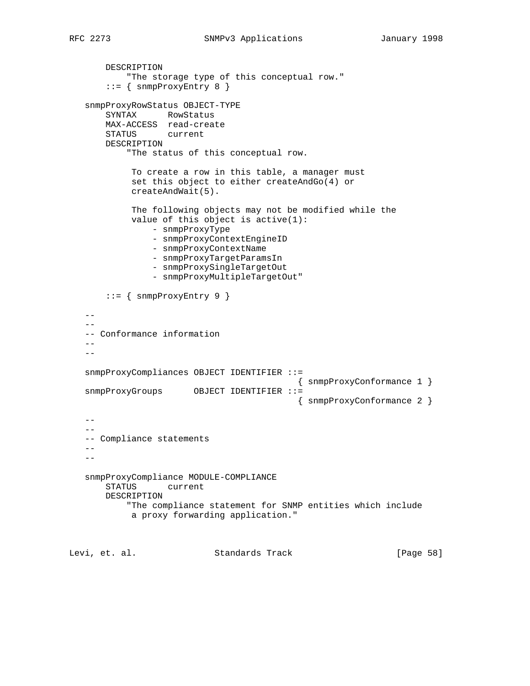```
 DESCRIPTION
            "The storage type of this conceptual row."
        ::= { snmpProxyEntry 8 }
    snmpProxyRowStatus OBJECT-TYPE
       SYNTAX RowStatus
       MAX-ACCESS read-create
       STATUS current
       DESCRIPTION
            "The status of this conceptual row.
            To create a row in this table, a manager must
            set this object to either createAndGo(4) or
            createAndWait(5).
            The following objects may not be modified while the
            value of this object is active(1):
                - snmpProxyType
                - snmpProxyContextEngineID
                - snmpProxyContextName
                - snmpProxyTargetParamsIn
                 - snmpProxySingleTargetOut
                 - snmpProxyMultipleTargetOut"
        ::= { snmpProxyEntry 9 }
   --\,- -- Conformance information
   - -- snmpProxyCompliances OBJECT IDENTIFIER ::=
                                           { snmpProxyConformance 1 }
   snmpProxyGroups OBJECT IDENTIFIER ::=
                                            { snmpProxyConformance 2 }
   - --4 -- Compliance statements
   -\,-- - snmpProxyCompliance MODULE-COMPLIANCE
       STATUS current
       DESCRIPTION
            "The compliance statement for SNMP entities which include
            a proxy forwarding application."
Levi, et. al. Standards Track [Page 58]
```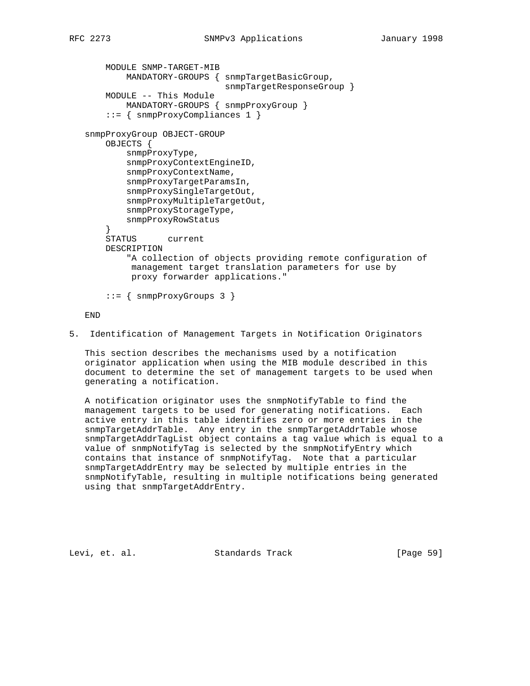```
 MODULE SNMP-TARGET-MIB
         MANDATORY-GROUPS { snmpTargetBasicGroup,
                             snmpTargetResponseGroup }
     MODULE -- This Module
         MANDATORY-GROUPS { snmpProxyGroup }
     ::= { snmpProxyCompliances 1 }
 snmpProxyGroup OBJECT-GROUP
     OBJECTS {
         snmpProxyType,
         snmpProxyContextEngineID,
         snmpProxyContextName,
         snmpProxyTargetParamsIn,
         snmpProxySingleTargetOut,
         snmpProxyMultipleTargetOut,
         snmpProxyStorageType,
         snmpProxyRowStatus
     }
     STATUS current
     DESCRIPTION
         "A collection of objects providing remote configuration of
         management target translation parameters for use by
          proxy forwarder applications."
     ::= { snmpProxyGroups 3 }
 END
```
5. Identification of Management Targets in Notification Originators

 This section describes the mechanisms used by a notification originator application when using the MIB module described in this document to determine the set of management targets to be used when generating a notification.

 A notification originator uses the snmpNotifyTable to find the management targets to be used for generating notifications. Each active entry in this table identifies zero or more entries in the snmpTargetAddrTable. Any entry in the snmpTargetAddrTable whose snmpTargetAddrTagList object contains a tag value which is equal to a value of snmpNotifyTag is selected by the snmpNotifyEntry which contains that instance of snmpNotifyTag. Note that a particular snmpTargetAddrEntry may be selected by multiple entries in the snmpNotifyTable, resulting in multiple notifications being generated using that snmpTargetAddrEntry.

Levi, et. al. Standards Track [Page 59]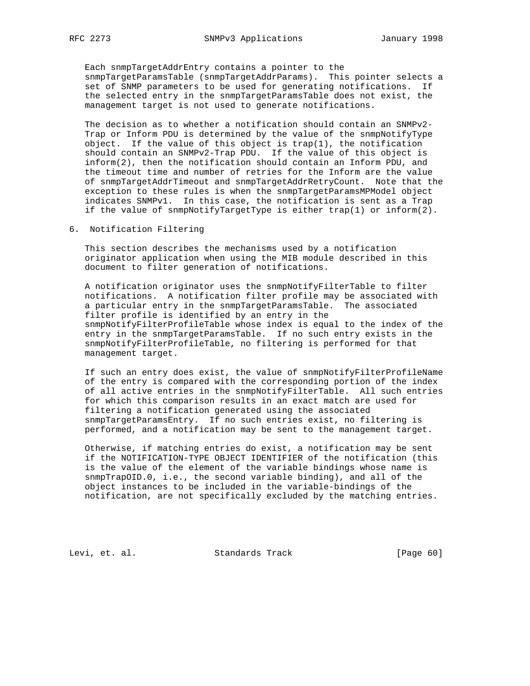Each snmpTargetAddrEntry contains a pointer to the snmpTargetParamsTable (snmpTargetAddrParams). This pointer selects a set of SNMP parameters to be used for generating notifications. If the selected entry in the snmpTargetParamsTable does not exist, the management target is not used to generate notifications.

 The decision as to whether a notification should contain an SNMPv2- Trap or Inform PDU is determined by the value of the snmpNotifyType object. If the value of this object is  $trap(1)$ , the notification should contain an SNMPv2-Trap PDU. If the value of this object is inform(2), then the notification should contain an Inform PDU, and the timeout time and number of retries for the Inform are the value of snmpTargetAddrTimeout and snmpTargetAddrRetryCount. Note that the exception to these rules is when the snmpTargetParamsMPModel object indicates SNMPv1. In this case, the notification is sent as a Trap if the value of snmpNotifyTargetType is either trap(1) or inform(2).

### 6. Notification Filtering

 This section describes the mechanisms used by a notification originator application when using the MIB module described in this document to filter generation of notifications.

 A notification originator uses the snmpNotifyFilterTable to filter notifications. A notification filter profile may be associated with a particular entry in the snmpTargetParamsTable. The associated filter profile is identified by an entry in the snmpNotifyFilterProfileTable whose index is equal to the index of the entry in the snmpTargetParamsTable. If no such entry exists in the snmpNotifyFilterProfileTable, no filtering is performed for that management target.

 If such an entry does exist, the value of snmpNotifyFilterProfileName of the entry is compared with the corresponding portion of the index of all active entries in the snmpNotifyFilterTable. All such entries for which this comparison results in an exact match are used for filtering a notification generated using the associated snmpTargetParamsEntry. If no such entries exist, no filtering is performed, and a notification may be sent to the management target.

 Otherwise, if matching entries do exist, a notification may be sent if the NOTIFICATION-TYPE OBJECT IDENTIFIER of the notification (this is the value of the element of the variable bindings whose name is snmpTrapOID.0, i.e., the second variable binding), and all of the object instances to be included in the variable-bindings of the notification, are not specifically excluded by the matching entries.

Levi, et. al. Standards Track [Page 60]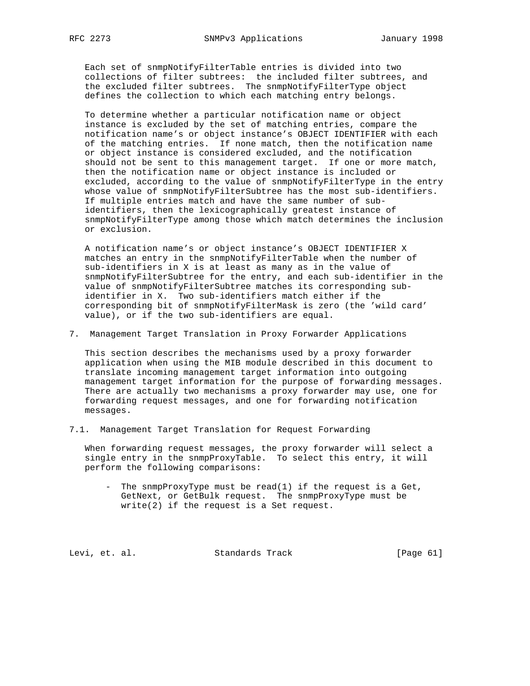Each set of snmpNotifyFilterTable entries is divided into two collections of filter subtrees: the included filter subtrees, and the excluded filter subtrees. The snmpNotifyFilterType object defines the collection to which each matching entry belongs.

 To determine whether a particular notification name or object instance is excluded by the set of matching entries, compare the notification name's or object instance's OBJECT IDENTIFIER with each of the matching entries. If none match, then the notification name or object instance is considered excluded, and the notification should not be sent to this management target. If one or more match, then the notification name or object instance is included or excluded, according to the value of snmpNotifyFilterType in the entry whose value of snmpNotifyFilterSubtree has the most sub-identifiers. If multiple entries match and have the same number of sub identifiers, then the lexicographically greatest instance of snmpNotifyFilterType among those which match determines the inclusion or exclusion.

 A notification name's or object instance's OBJECT IDENTIFIER X matches an entry in the snmpNotifyFilterTable when the number of sub-identifiers in X is at least as many as in the value of snmpNotifyFilterSubtree for the entry, and each sub-identifier in the value of snmpNotifyFilterSubtree matches its corresponding sub identifier in X. Two sub-identifiers match either if the corresponding bit of snmpNotifyFilterMask is zero (the 'wild card' value), or if the two sub-identifiers are equal.

7. Management Target Translation in Proxy Forwarder Applications

 This section describes the mechanisms used by a proxy forwarder application when using the MIB module described in this document to translate incoming management target information into outgoing management target information for the purpose of forwarding messages. There are actually two mechanisms a proxy forwarder may use, one for forwarding request messages, and one for forwarding notification messages.

7.1. Management Target Translation for Request Forwarding

 When forwarding request messages, the proxy forwarder will select a single entry in the snmpProxyTable. To select this entry, it will perform the following comparisons:

 - The snmpProxyType must be read(1) if the request is a Get, GetNext, or GetBulk request. The snmpProxyType must be write(2) if the request is a Set request.

Levi, et. al. Standards Track [Page 61]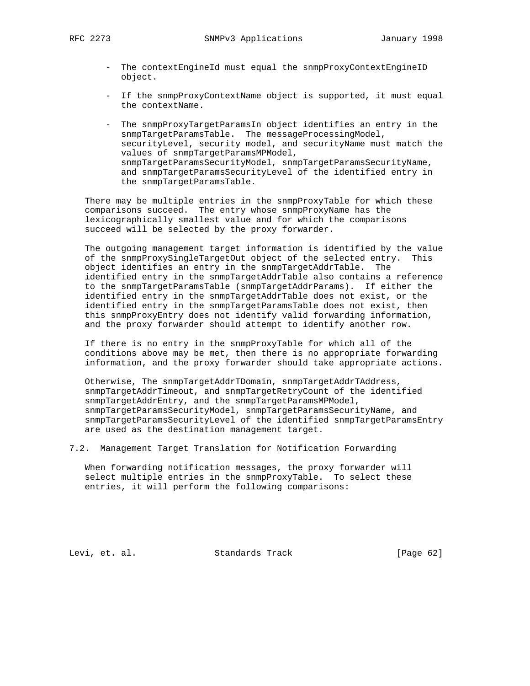- The contextEngineId must equal the snmpProxyContextEngineID object.
- If the snmpProxyContextName object is supported, it must equal the contextName.
- The snmpProxyTargetParamsIn object identifies an entry in the snmpTargetParamsTable. The messageProcessingModel, securityLevel, security model, and securityName must match the values of snmpTargetParamsMPModel, snmpTargetParamsSecurityModel, snmpTargetParamsSecurityName, and snmpTargetParamsSecurityLevel of the identified entry in the snmpTargetParamsTable.

 There may be multiple entries in the snmpProxyTable for which these comparisons succeed. The entry whose snmpProxyName has the lexicographically smallest value and for which the comparisons succeed will be selected by the proxy forwarder.

 The outgoing management target information is identified by the value of the snmpProxySingleTargetOut object of the selected entry. This object identifies an entry in the snmpTargetAddrTable. The identified entry in the snmpTargetAddrTable also contains a reference to the snmpTargetParamsTable (snmpTargetAddrParams). If either the identified entry in the snmpTargetAddrTable does not exist, or the identified entry in the snmpTargetParamsTable does not exist, then this snmpProxyEntry does not identify valid forwarding information, and the proxy forwarder should attempt to identify another row.

 If there is no entry in the snmpProxyTable for which all of the conditions above may be met, then there is no appropriate forwarding information, and the proxy forwarder should take appropriate actions.

 Otherwise, The snmpTargetAddrTDomain, snmpTargetAddrTAddress, snmpTargetAddrTimeout, and snmpTargetRetryCount of the identified snmpTargetAddrEntry, and the snmpTargetParamsMPModel, snmpTargetParamsSecurityModel, snmpTargetParamsSecurityName, and snmpTargetParamsSecurityLevel of the identified snmpTargetParamsEntry are used as the destination management target.

7.2. Management Target Translation for Notification Forwarding

 When forwarding notification messages, the proxy forwarder will select multiple entries in the snmpProxyTable. To select these entries, it will perform the following comparisons:

Levi, et. al. Standards Track [Page 62]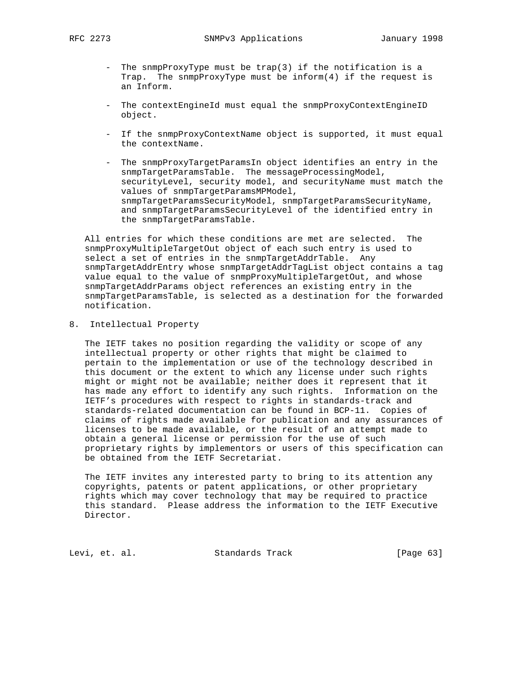- The snmpProxyType must be trap(3) if the notification is a Trap. The snmpProxyType must be inform(4) if the request is an Inform.
- The contextEngineId must equal the snmpProxyContextEngineID object.
- If the snmpProxyContextName object is supported, it must equal the contextName.
- The snmpProxyTargetParamsIn object identifies an entry in the snmpTargetParamsTable. The messageProcessingModel, securityLevel, security model, and securityName must match the values of snmpTargetParamsMPModel, snmpTargetParamsSecurityModel, snmpTargetParamsSecurityName, and snmpTargetParamsSecurityLevel of the identified entry in the snmpTargetParamsTable.

 All entries for which these conditions are met are selected. The snmpProxyMultipleTargetOut object of each such entry is used to select a set of entries in the snmpTargetAddrTable. Any snmpTargetAddrEntry whose snmpTargetAddrTagList object contains a tag value equal to the value of snmpProxyMultipleTargetOut, and whose snmpTargetAddrParams object references an existing entry in the snmpTargetParamsTable, is selected as a destination for the forwarded notification.

8. Intellectual Property

 The IETF takes no position regarding the validity or scope of any intellectual property or other rights that might be claimed to pertain to the implementation or use of the technology described in this document or the extent to which any license under such rights might or might not be available; neither does it represent that it has made any effort to identify any such rights. Information on the IETF's procedures with respect to rights in standards-track and standards-related documentation can be found in BCP-11. Copies of claims of rights made available for publication and any assurances of licenses to be made available, or the result of an attempt made to obtain a general license or permission for the use of such proprietary rights by implementors or users of this specification can be obtained from the IETF Secretariat.

 The IETF invites any interested party to bring to its attention any copyrights, patents or patent applications, or other proprietary rights which may cover technology that may be required to practice this standard. Please address the information to the IETF Executive Director.

Levi, et. al. Standards Track [Page 63]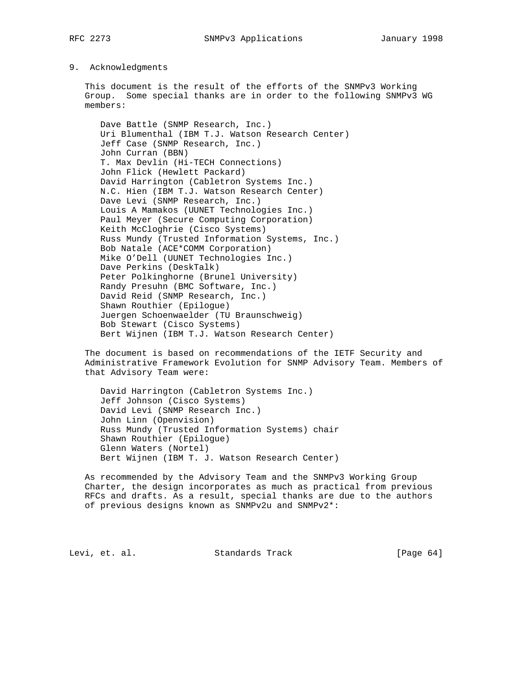#### 9. Acknowledgments

 This document is the result of the efforts of the SNMPv3 Working Group. Some special thanks are in order to the following SNMPv3 WG members:

 Dave Battle (SNMP Research, Inc.) Uri Blumenthal (IBM T.J. Watson Research Center) Jeff Case (SNMP Research, Inc.) John Curran (BBN) T. Max Devlin (Hi-TECH Connections) John Flick (Hewlett Packard) David Harrington (Cabletron Systems Inc.) N.C. Hien (IBM T.J. Watson Research Center) Dave Levi (SNMP Research, Inc.) Louis A Mamakos (UUNET Technologies Inc.) Paul Meyer (Secure Computing Corporation) Keith McCloghrie (Cisco Systems) Russ Mundy (Trusted Information Systems, Inc.) Bob Natale (ACE\*COMM Corporation) Mike O'Dell (UUNET Technologies Inc.) Dave Perkins (DeskTalk) Peter Polkinghorne (Brunel University) Randy Presuhn (BMC Software, Inc.) David Reid (SNMP Research, Inc.) Shawn Routhier (Epilogue) Juergen Schoenwaelder (TU Braunschweig) Bob Stewart (Cisco Systems) Bert Wijnen (IBM T.J. Watson Research Center)

 The document is based on recommendations of the IETF Security and Administrative Framework Evolution for SNMP Advisory Team. Members of that Advisory Team were:

 David Harrington (Cabletron Systems Inc.) Jeff Johnson (Cisco Systems) David Levi (SNMP Research Inc.) John Linn (Openvision) Russ Mundy (Trusted Information Systems) chair Shawn Routhier (Epilogue) Glenn Waters (Nortel) Bert Wijnen (IBM T. J. Watson Research Center)

 As recommended by the Advisory Team and the SNMPv3 Working Group Charter, the design incorporates as much as practical from previous RFCs and drafts. As a result, special thanks are due to the authors of previous designs known as SNMPv2u and SNMPv2\*:

Levi, et. al. Standards Track [Page 64]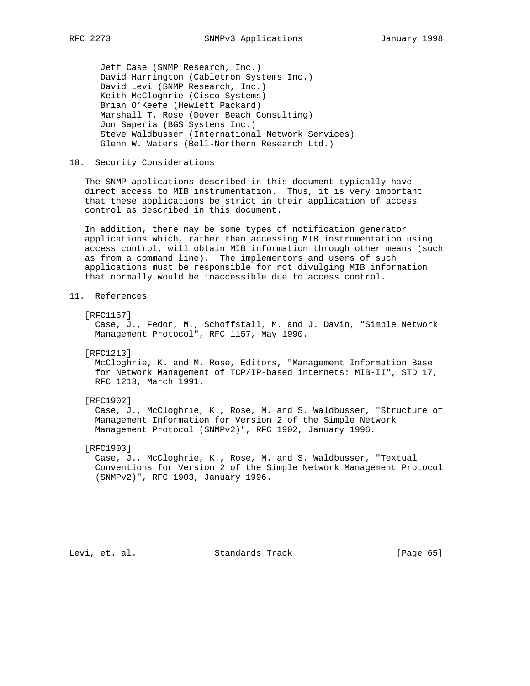Jeff Case (SNMP Research, Inc.) David Harrington (Cabletron Systems Inc.) David Levi (SNMP Research, Inc.) Keith McCloghrie (Cisco Systems) Brian O'Keefe (Hewlett Packard) Marshall T. Rose (Dover Beach Consulting) Jon Saperia (BGS Systems Inc.) Steve Waldbusser (International Network Services) Glenn W. Waters (Bell-Northern Research Ltd.)

# 10. Security Considerations

 The SNMP applications described in this document typically have direct access to MIB instrumentation. Thus, it is very important that these applications be strict in their application of access control as described in this document.

 In addition, there may be some types of notification generator applications which, rather than accessing MIB instrumentation using access control, will obtain MIB information through other means (such as from a command line). The implementors and users of such applications must be responsible for not divulging MIB information that normally would be inaccessible due to access control.

#### [RFC1157]

 Case, J., Fedor, M., Schoffstall, M. and J. Davin, "Simple Network Management Protocol", RFC 1157, May 1990.

[RFC1213]

 McCloghrie, K. and M. Rose, Editors, "Management Information Base for Network Management of TCP/IP-based internets: MIB-II", STD 17, RFC 1213, March 1991.

[RFC1902]

 Case, J., McCloghrie, K., Rose, M. and S. Waldbusser, "Structure of Management Information for Version 2 of the Simple Network Management Protocol (SNMPv2)", RFC 1902, January 1996.

[RFC1903]

 Case, J., McCloghrie, K., Rose, M. and S. Waldbusser, "Textual Conventions for Version 2 of the Simple Network Management Protocol (SNMPv2)", RFC 1903, January 1996.

Levi, et. al. Standards Track [Page 65]

<sup>11.</sup> References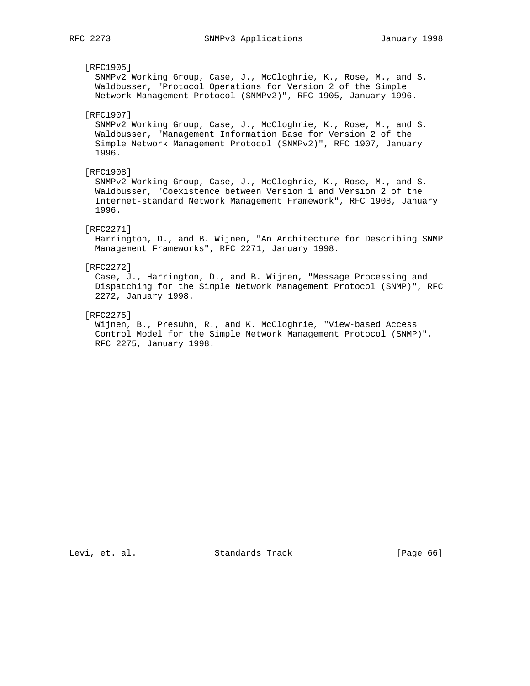# [RFC1905] SNMPv2 Working Group, Case, J., McCloghrie, K., Rose, M., and S. Waldbusser, "Protocol Operations for Version 2 of the Simple Network Management Protocol (SNMPv2)", RFC 1905, January 1996. [RFC1907] SNMPv2 Working Group, Case, J., McCloghrie, K., Rose, M., and S. Waldbusser, "Management Information Base for Version 2 of the Simple Network Management Protocol (SNMPv2)", RFC 1907, January 1996. [RFC1908] SNMPv2 Working Group, Case, J., McCloghrie, K., Rose, M., and S. Waldbusser, "Coexistence between Version 1 and Version 2 of the Internet-standard Network Management Framework", RFC 1908, January 1996. [RFC2271] Harrington, D., and B. Wijnen, "An Architecture for Describing SNMP Management Frameworks", RFC 2271, January 1998. [RFC2272] Case, J., Harrington, D., and B. Wijnen, "Message Processing and Dispatching for the Simple Network Management Protocol (SNMP)", RFC 2272, January 1998. [RFC2275]

 Wijnen, B., Presuhn, R., and K. McCloghrie, "View-based Access Control Model for the Simple Network Management Protocol (SNMP)", RFC 2275, January 1998.

Levi, et. al. Standards Track [Page 66]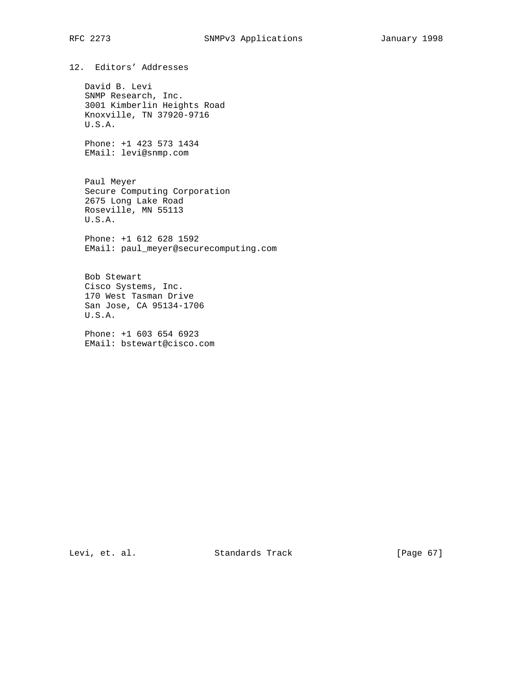12. Editors' Addresses

 David B. Levi SNMP Research, Inc. 3001 Kimberlin Heights Road Knoxville, TN 37920-9716 U.S.A.

 Phone: +1 423 573 1434 EMail: levi@snmp.com

 Paul Meyer Secure Computing Corporation 2675 Long Lake Road Roseville, MN 55113 U.S.A.

 Phone: +1 612 628 1592 EMail: paul\_meyer@securecomputing.com

 Bob Stewart Cisco Systems, Inc. 170 West Tasman Drive San Jose, CA 95134-1706 U.S.A.

 Phone: +1 603 654 6923 EMail: bstewart@cisco.com

Levi, et. al. Standards Track [Page 67]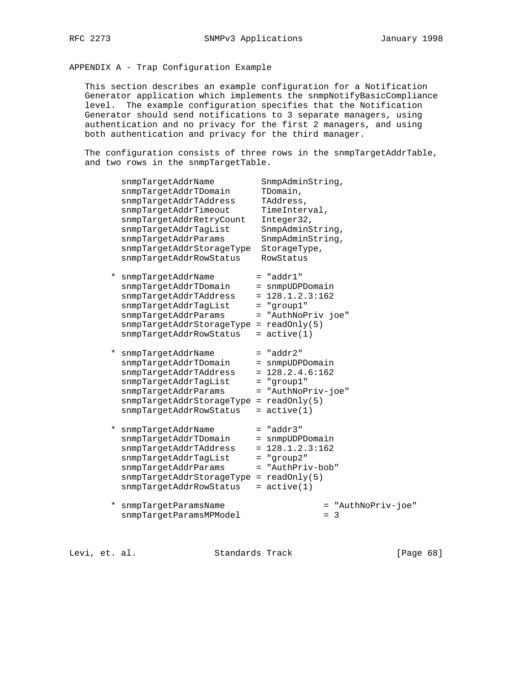# APPENDIX A - Trap Configuration Example

 This section describes an example configuration for a Notification Generator application which implements the snmpNotifyBasicCompliance level. The example configuration specifies that the Notification Generator should send notifications to 3 separate managers, using authentication and no privacy for the first 2 managers, and using both authentication and privacy for the third manager.

The configuration consists of three rows in the snmpTargetAddrTable, and two rows in the snmpTargetTable.

|          | snmpTargetAddrName<br>snmpTargetAddrTDomain<br>snmpTargetAddrTAddress<br>snmpTargetAddrTimeout<br>snmpTargetAddrRetryCount<br>snmpTargetAddrTagList<br>snmpTargetAddrParams<br>snmpTargetAddrStorageType<br>snmpTargetAddrRowStatus | SnmpAdminString,<br>TDomain,<br>TAddress,<br>TimeInterval,<br>Integer32,<br>SnmpAdminString,<br>SnmpAdminString,<br>StorageType,<br>RowStatus |
|----------|-------------------------------------------------------------------------------------------------------------------------------------------------------------------------------------------------------------------------------------|-----------------------------------------------------------------------------------------------------------------------------------------------|
| $^\star$ | snmpTargetAddrName<br>snmpTargetAddrTDomain<br>snmpTargetAddrTAddress<br>snmpTargetAddrTagList<br>snmpTargetAddrParams<br>$s$ nmpTargetAddrStorageType = readOnly(5)<br>snmpTargetAddrRowStatus                                     | $=$ "addr $1$ "<br>= snmpUDPDomain<br>$= 128.1.2.3:162$<br>$=$ "group1"<br>= "AuthNoPriv joe"<br>$= active(1)$                                |
| *        | snmpTargetAddrName<br>snmpTarqetAddrTDomain<br>snmpTargetAddrTAddress<br>snmpTargetAddrTagList<br>snmpTargetAddrParams<br>snmpTargetAddrStorageType = readOnly(5)<br>snmpTargetAddrRowStatus                                        | $=$ "addr2"<br>= snmpUDPDomain<br>$= 128.2.4.6:162$<br>$=$ "group1"<br>= "AuthNoPriv-joe"<br>$=$ active(1)                                    |
| *        | snmpTargetAddrName<br>snmpTargetAddrTDomain<br>snmpTargetAddrTAddress<br>snmpTargetAddrTagList<br>snmpTargetAddrParams<br>$s$ nmpTargetAddrStorageType = readOnly(5)<br>snmpTargetAddrRowStatus                                     | $= "addr3"$<br>= snmpUDPDomain<br>$= 128.1.2.3:162$<br>$=$ "qroup2"<br>= "AuthPriv-bob"<br>$=$ active(1)                                      |
| *        | snmpTargetParamsName<br>snmpTargetParamsMPModel                                                                                                                                                                                     | = "AuthNoPriv-joe"<br>$= 3$                                                                                                                   |

Levi, et. al. Standards Track [Page 68]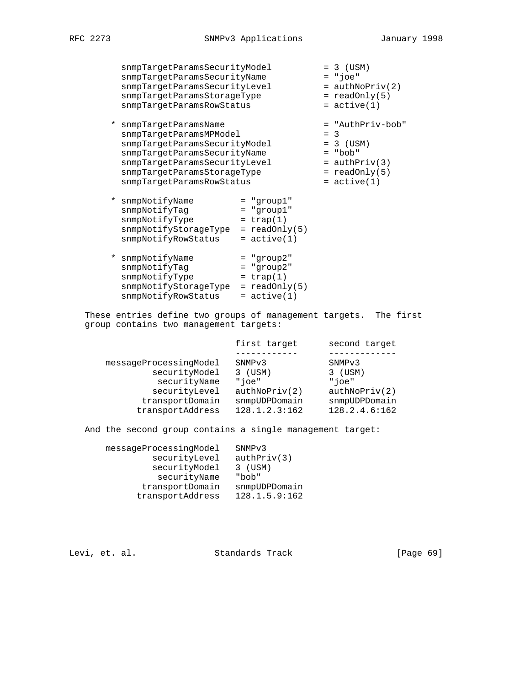snmpTargetParamsSecurityModel = 3 (USM) snmpTargetParamsSecurityName = "joe" snmpTargetParamsSecurityLevel = authNoPriv(2) snmpTargetParamsStorageType = readOnly(5) snmpTargetParamsRowStatus = active(1)

 \* snmpTargetParamsName = "AuthPriv-bob" snmpTargetParamsMPModel = 3 snmpTargetParamsSecurityModel = 3 (USM) snmpTargetParamsSecurityName = "bob" snmpTargetParamsSecurityLevel = authPriv(3) snmpTargetParamsStorageType = readOnly(5) snmpTargetParamsRowStatus = active(1)

| * snmpNotifyName<br>snmpNotifyTag<br>snmpNotifyType<br>snmpNotifyStorageType<br>snmpNotifyRowStatus | $=$ "group $1$ "<br>$=$ "qroup1"<br>$= \text{trap}(1)$<br>$=$ readOnly(5)<br>$=$ active(1) |
|-----------------------------------------------------------------------------------------------------|--------------------------------------------------------------------------------------------|
| * snmpNotifyName<br>snmpNotifyTag<br>snmpNotifyType                                                 | $=$ "group2"<br>$=$ "group2"<br>$= \text{trap}(1)$                                         |

 snmpNotifyStorageType = readOnly(5)  $s$ nmpNotifyRowStatus =  $active(1)$ 

 These entries define two groups of management targets. The first group contains two management targets:

|                        | first target       | second target      |
|------------------------|--------------------|--------------------|
|                        |                    |                    |
| messageProcessingModel | SNMP <sub>v3</sub> | SNMP <sub>v3</sub> |
| securityModel          | $3$ (USM)          | $3$ (USM)          |
| securityName           | "ioe"              | "ioe"              |
| securityLevel          | author(2)          | author(2)          |
| transportDomain        | snmpUDPDomain      | snmpUDPDomain      |
| transportAddress       | 128.1.2.3:162      | 128.2.4.6:162      |

And the second group contains a single management target:

| messageProcessingModel | SNMP <sub>v3</sub> |
|------------------------|--------------------|
| securityLevel          | author(y(3)        |
| securityModel          | $3$ (USM)          |
| securityName           | "bob"              |
| transportDomain        | snmpUDPDomain      |
| transportAddress       | 128.1.5.9:162      |

Levi, et. al. Standards Track [Page 69]